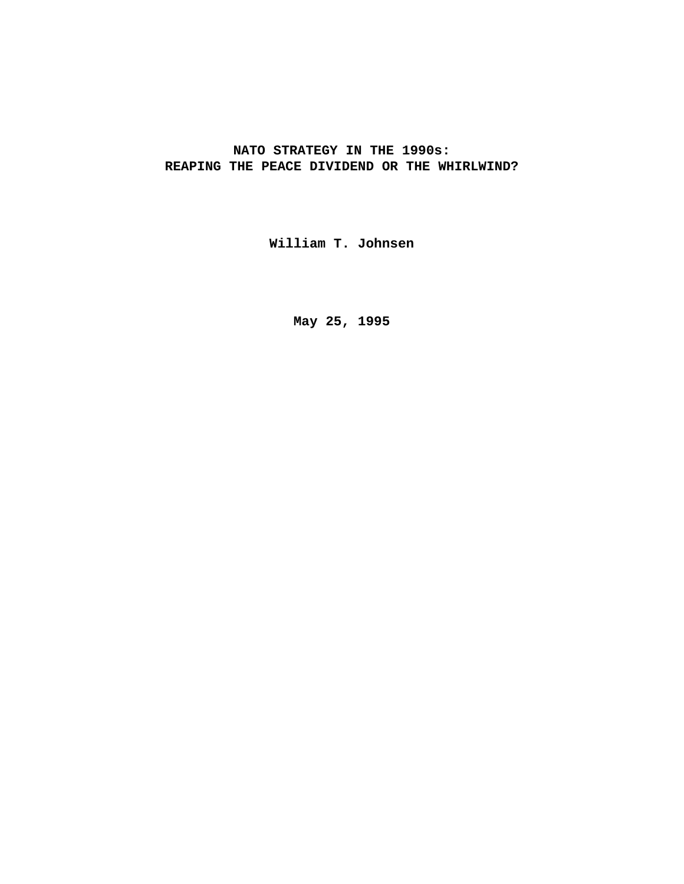# **NATO STRATEGY IN THE 1990s: REAPING THE PEACE DIVIDEND OR THE WHIRLWIND?**

**William T. Johnsen**

**May 25, 1995**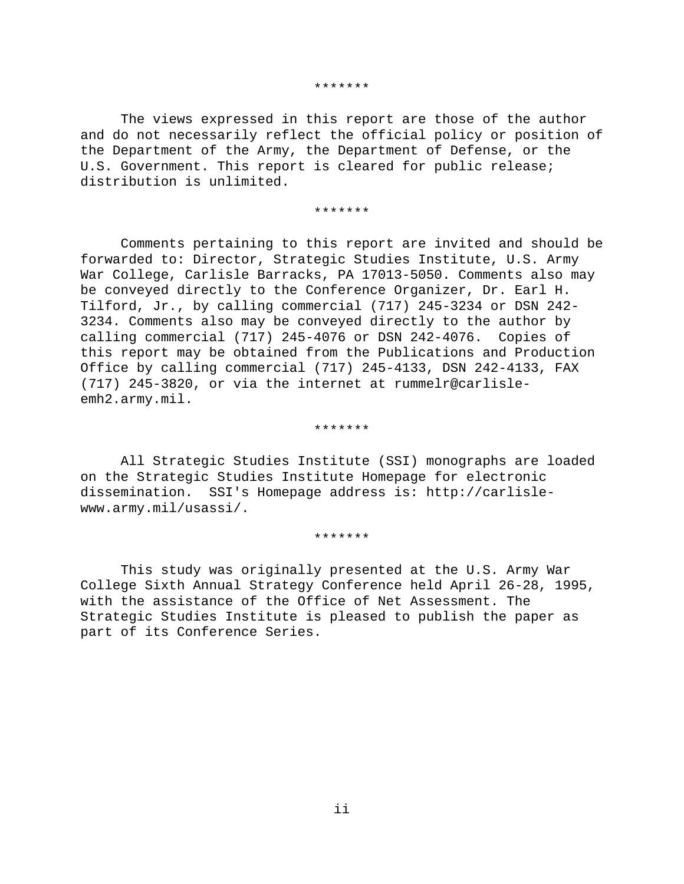#### \*\*\*\*\*\*\*

The views expressed in this report are those of the author and do not necessarily reflect the official policy or position of the Department of the Army, the Department of Defense, or the U.S. Government. This report is cleared for public release; distribution is unlimited.

#### \*\*\*\*\*\*\*

Comments pertaining to this report are invited and should be forwarded to: Director, Strategic Studies Institute, U.S. Army War College, Carlisle Barracks, PA 17013-5050. Comments also may be conveyed directly to the Conference Organizer, Dr. Earl H. Tilford, Jr., by calling commercial (717) 245-3234 or DSN 242- 3234. Comments also may be conveyed directly to the author by calling commercial (717) 245-4076 or DSN 242-4076. Copies of this report may be obtained from the Publications and Production Office by calling commercial (717) 245-4133, DSN 242-4133, FAX (717) 245-3820, or via the internet at rummelr@carlisleemh2.army.mil.

#### \*\*\*\*\*\*\*

All Strategic Studies Institute (SSI) monographs are loaded on the Strategic Studies Institute Homepage for electronic dissemination. SSI's Homepage address is: http://carlislewww.army.mil/usassi/.

#### \*\*\*\*\*\*\*

This study was originally presented at the U.S. Army War College Sixth Annual Strategy Conference held April 26-28, 1995, with the assistance of the Office of Net Assessment. The Strategic Studies Institute is pleased to publish the paper as part of its Conference Series.

ii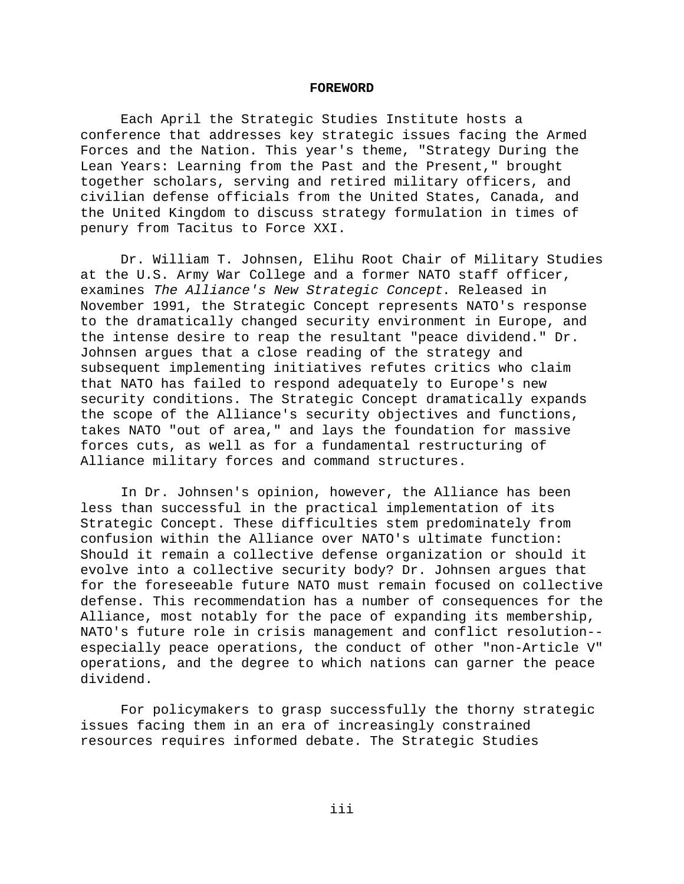#### **FOREWORD**

Each April the Strategic Studies Institute hosts a conference that addresses key strategic issues facing the Armed Forces and the Nation. This year's theme, "Strategy During the Lean Years: Learning from the Past and the Present," brought together scholars, serving and retired military officers, and civilian defense officials from the United States, Canada, and the United Kingdom to discuss strategy formulation in times of penury from Tacitus to Force XXI.

Dr. William T. Johnsen, Elihu Root Chair of Military Studies at the U.S. Army War College and a former NATO staff officer, examines The Alliance's New Strategic Concept. Released in November 1991, the Strategic Concept represents NATO's response to the dramatically changed security environment in Europe, and the intense desire to reap the resultant "peace dividend." Dr. Johnsen argues that a close reading of the strategy and subsequent implementing initiatives refutes critics who claim that NATO has failed to respond adequately to Europe's new security conditions. The Strategic Concept dramatically expands the scope of the Alliance's security objectives and functions, takes NATO "out of area," and lays the foundation for massive forces cuts, as well as for a fundamental restructuring of Alliance military forces and command structures.

In Dr. Johnsen's opinion, however, the Alliance has been less than successful in the practical implementation of its Strategic Concept. These difficulties stem predominately from confusion within the Alliance over NATO's ultimate function: Should it remain a collective defense organization or should it evolve into a collective security body? Dr. Johnsen argues that for the foreseeable future NATO must remain focused on collective defense. This recommendation has a number of consequences for the Alliance, most notably for the pace of expanding its membership, NATO's future role in crisis management and conflict resolution- especially peace operations, the conduct of other "non-Article V" operations, and the degree to which nations can garner the peace dividend.

For policymakers to grasp successfully the thorny strategic issues facing them in an era of increasingly constrained resources requires informed debate. The Strategic Studies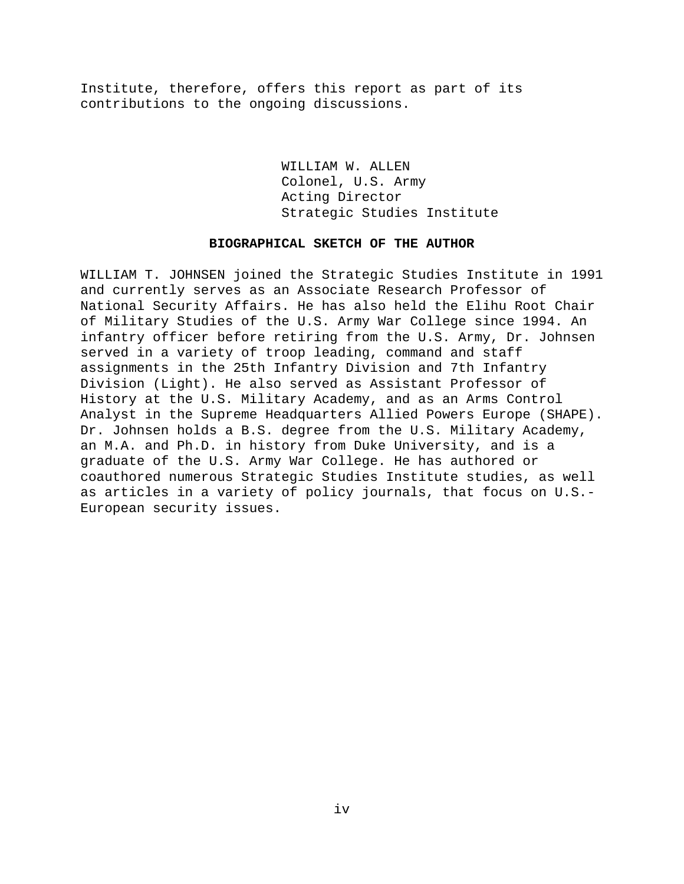Institute, therefore, offers this report as part of its contributions to the ongoing discussions.

> WILLIAM W. ALLEN Colonel, U.S. Army Acting Director Strategic Studies Institute

### **BIOGRAPHICAL SKETCH OF THE AUTHOR**

WILLIAM T. JOHNSEN joined the Strategic Studies Institute in 1991 and currently serves as an Associate Research Professor of National Security Affairs. He has also held the Elihu Root Chair of Military Studies of the U.S. Army War College since 1994. An infantry officer before retiring from the U.S. Army, Dr. Johnsen served in a variety of troop leading, command and staff assignments in the 25th Infantry Division and 7th Infantry Division (Light). He also served as Assistant Professor of History at the U.S. Military Academy, and as an Arms Control Analyst in the Supreme Headquarters Allied Powers Europe (SHAPE). Dr. Johnsen holds a B.S. degree from the U.S. Military Academy, an M.A. and Ph.D. in history from Duke University, and is a graduate of the U.S. Army War College. He has authored or coauthored numerous Strategic Studies Institute studies, as well as articles in a variety of policy journals, that focus on U.S.- European security issues.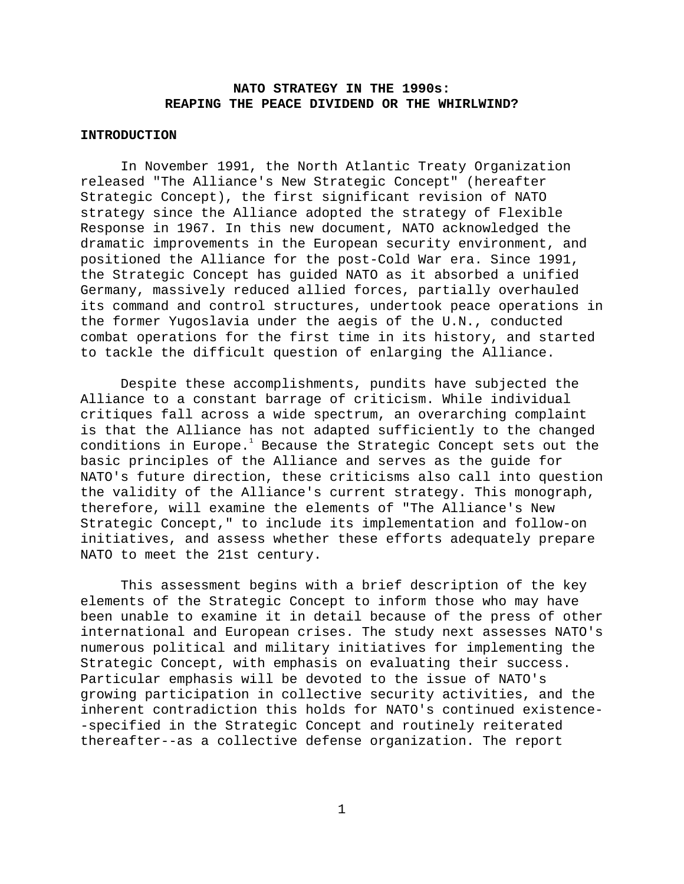# **NATO STRATEGY IN THE 1990s: REAPING THE PEACE DIVIDEND OR THE WHIRLWIND?**

# **INTRODUCTION**

In November 1991, the North Atlantic Treaty Organization released "The Alliance's New Strategic Concept" (hereafter Strategic Concept), the first significant revision of NATO strategy since the Alliance adopted the strategy of Flexible Response in 1967. In this new document, NATO acknowledged the dramatic improvements in the European security environment, and positioned the Alliance for the post-Cold War era. Since 1991, the Strategic Concept has guided NATO as it absorbed a unified Germany, massively reduced allied forces, partially overhauled its command and control structures, undertook peace operations in the former Yugoslavia under the aegis of the U.N., conducted combat operations for the first time in its history, and started to tackle the difficult question of enlarging the Alliance.

Despite these accomplishments, pundits have subjected the Alliance to a constant barrage of criticism. While individual critiques fall across a wide spectrum, an overarching complaint is that the Alliance has not adapted sufficiently to the changed conditions in Europe. $^{\rm l}$  Because the Strategic Concept sets out the basic principles of the Alliance and serves as the guide for NATO's future direction, these criticisms also call into question the validity of the Alliance's current strategy. This monograph, therefore, will examine the elements of "The Alliance's New Strategic Concept," to include its implementation and follow-on initiatives, and assess whether these efforts adequately prepare NATO to meet the 21st century.

This assessment begins with a brief description of the key elements of the Strategic Concept to inform those who may have been unable to examine it in detail because of the press of other international and European crises. The study next assesses NATO's numerous political and military initiatives for implementing the Strategic Concept, with emphasis on evaluating their success. Particular emphasis will be devoted to the issue of NATO's growing participation in collective security activities, and the inherent contradiction this holds for NATO's continued existence- -specified in the Strategic Concept and routinely reiterated thereafter--as a collective defense organization. The report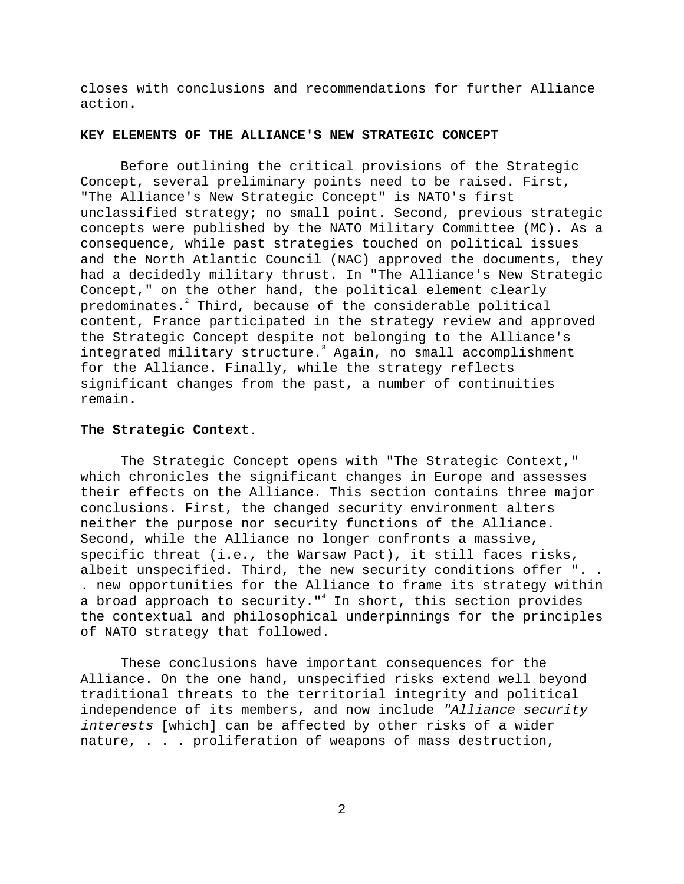closes with conclusions and recommendations for further Alliance action.

# **KEY ELEMENTS OF THE ALLIANCE'S NEW STRATEGIC CONCEPT**

Before outlining the critical provisions of the Strategic Concept, several preliminary points need to be raised. First, "The Alliance's New Strategic Concept" is NATO's first unclassified strategy; no small point. Second, previous strategic concepts were published by the NATO Military Committee (MC). As a consequence, while past strategies touched on political issues and the North Atlantic Council (NAC) approved the documents, they had a decidedly military thrust. In "The Alliance's New Strategic Concept," on the other hand, the political element clearly predominates. $^{\text{2}}$  Third, because of the considerable political content, France participated in the strategy review and approved the Strategic Concept despite not belonging to the Alliance's integrated military structure.<sup>3</sup> Again, no small accomplishment for the Alliance. Finally, while the strategy reflects significant changes from the past, a number of continuities remain.

# **The Strategic Context**.

The Strategic Concept opens with "The Strategic Context," which chronicles the significant changes in Europe and assesses their effects on the Alliance. This section contains three major conclusions. First, the changed security environment alters neither the purpose nor security functions of the Alliance. Second, while the Alliance no longer confronts a massive, specific threat (i.e., the Warsaw Pact), it still faces risks, albeit unspecified. Third, the new security conditions offer ".. . new opportunities for the Alliance to frame its strategy within a broad approach to security."<sup>4</sup> In short, this section provides the contextual and philosophical underpinnings for the principles of NATO strategy that followed.

These conclusions have important consequences for the Alliance. On the one hand, unspecified risks extend well beyond traditional threats to the territorial integrity and political independence of its members, and now include "Alliance security interests [which] can be affected by other risks of a wider nature, . . . proliferation of weapons of mass destruction,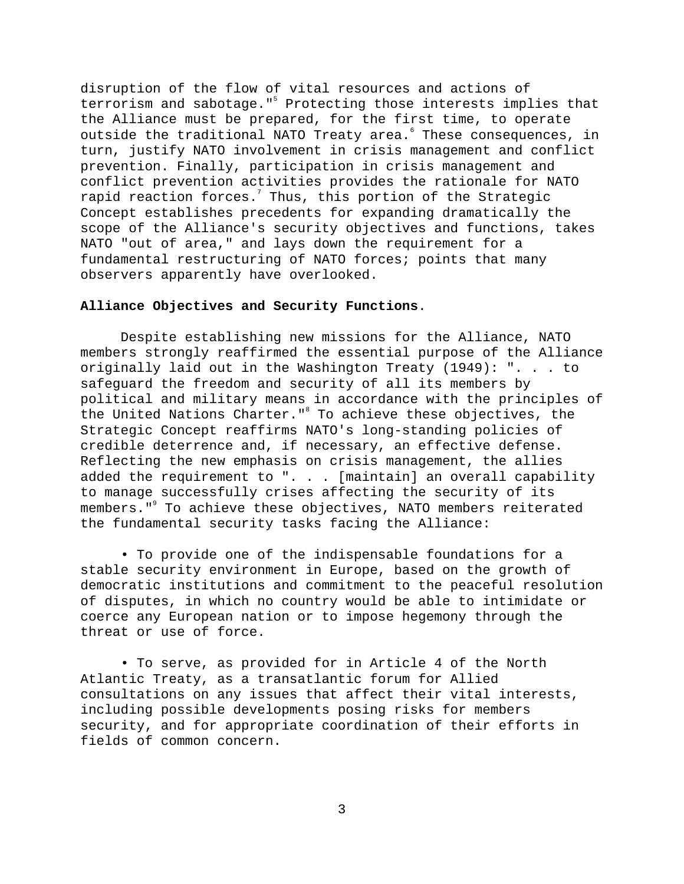disruption of the flow of vital resources and actions of terrorism and sabotage."<sup>5</sup> Protecting those interests implies that the Alliance must be prepared, for the first time, to operate outside the traditional NATO Treaty area. These consequences, in turn, justify NATO involvement in crisis management and conflict prevention. Finally, participation in crisis management and conflict prevention activities provides the rationale for NATO rapid reaction forces. $^7$  Thus, this portion of the Strategic Concept establishes precedents for expanding dramatically the scope of the Alliance's security objectives and functions, takes NATO "out of area," and lays down the requirement for a fundamental restructuring of NATO forces; points that many observers apparently have overlooked.

# **Alliance Objectives and Security Functions**.

Despite establishing new missions for the Alliance, NATO members strongly reaffirmed the essential purpose of the Alliance originally laid out in the Washington Treaty (1949): ". . . to safeguard the freedom and security of all its members by political and military means in accordance with the principles of the United Nations Charter."<sup>8</sup> To achieve these objectives, the Strategic Concept reaffirms NATO's long-standing policies of credible deterrence and, if necessary, an effective defense. Reflecting the new emphasis on crisis management, the allies added the requirement to ". . . [maintain] an overall capability to manage successfully crises affecting the security of its members." $^{\circ}$  To achieve these objectives, NATO members reiterated the fundamental security tasks facing the Alliance:

• To provide one of the indispensable foundations for a stable security environment in Europe, based on the growth of democratic institutions and commitment to the peaceful resolution of disputes, in which no country would be able to intimidate or coerce any European nation or to impose hegemony through the threat or use of force.

• To serve, as provided for in Article 4 of the North Atlantic Treaty, as a transatlantic forum for Allied consultations on any issues that affect their vital interests, including possible developments posing risks for members security, and for appropriate coordination of their efforts in fields of common concern.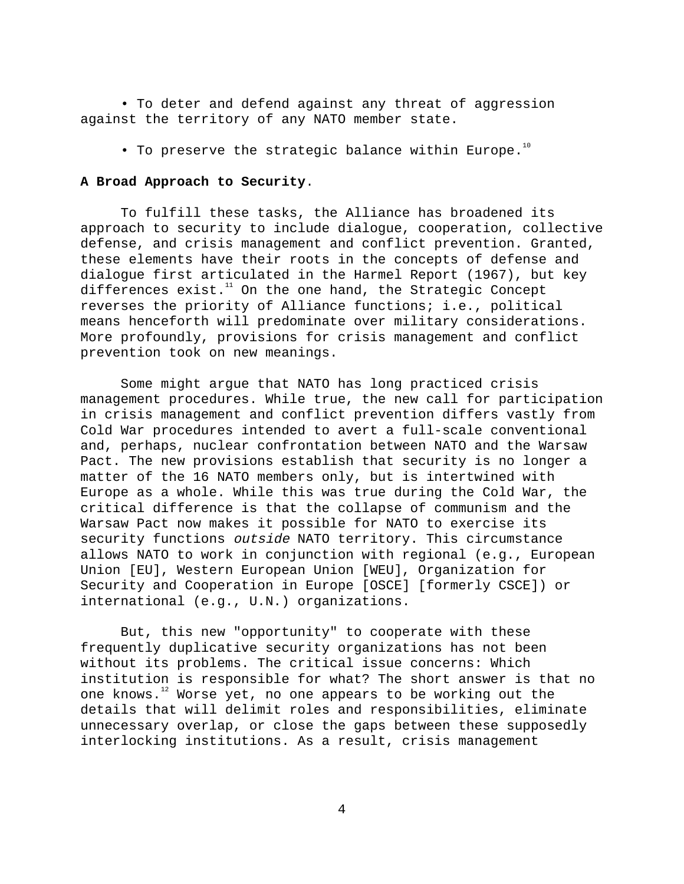• To deter and defend against any threat of aggression against the territory of any NATO member state.

• To preserve the strategic balance within Europe.<sup>10</sup>

## **A Broad Approach to Security**.

To fulfill these tasks, the Alliance has broadened its approach to security to include dialogue, cooperation, collective defense, and crisis management and conflict prevention. Granted, these elements have their roots in the concepts of defense and dialogue first articulated in the Harmel Report (1967), but key differences exist. $11$  On the one hand, the Strategic Concept reverses the priority of Alliance functions; i.e., political means henceforth will predominate over military considerations. More profoundly, provisions for crisis management and conflict prevention took on new meanings.

Some might argue that NATO has long practiced crisis management procedures. While true, the new call for participation in crisis management and conflict prevention differs vastly from Cold War procedures intended to avert a full-scale conventional and, perhaps, nuclear confrontation between NATO and the Warsaw Pact. The new provisions establish that security is no longer a matter of the 16 NATO members only, but is intertwined with Europe as a whole. While this was true during the Cold War, the critical difference is that the collapse of communism and the Warsaw Pact now makes it possible for NATO to exercise its security functions outside NATO territory. This circumstance allows NATO to work in conjunction with regional (e.g., European Union [EU], Western European Union [WEU], Organization for Security and Cooperation in Europe [OSCE] [formerly CSCE]) or international (e.g., U.N.) organizations.

But, this new "opportunity" to cooperate with these frequently duplicative security organizations has not been without its problems. The critical issue concerns: Which institution is responsible for what? The short answer is that no one knows.<sup>12</sup> Worse yet, no one appears to be working out the details that will delimit roles and responsibilities, eliminate unnecessary overlap, or close the gaps between these supposedly interlocking institutions. As a result, crisis management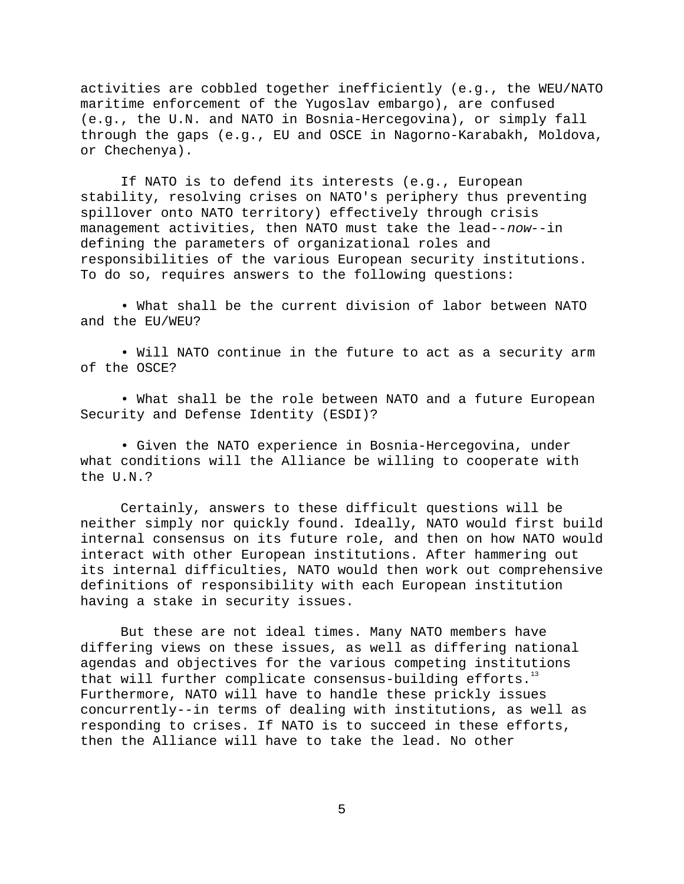activities are cobbled together inefficiently (e.g., the WEU/NATO maritime enforcement of the Yugoslav embargo), are confused (e.g., the U.N. and NATO in Bosnia-Hercegovina), or simply fall through the gaps (e.g., EU and OSCE in Nagorno-Karabakh, Moldova, or Chechenya).

If NATO is to defend its interests (e.g., European stability, resolving crises on NATO's periphery thus preventing spillover onto NATO territory) effectively through crisis management activities, then NATO must take the lead--now--in defining the parameters of organizational roles and responsibilities of the various European security institutions. To do so, requires answers to the following questions:

• What shall be the current division of labor between NATO and the EU/WEU?

• Will NATO continue in the future to act as a security arm of the OSCE?

• What shall be the role between NATO and a future European Security and Defense Identity (ESDI)?

• Given the NATO experience in Bosnia-Hercegovina, under what conditions will the Alliance be willing to cooperate with the U.N.?

Certainly, answers to these difficult questions will be neither simply nor quickly found. Ideally, NATO would first build internal consensus on its future role, and then on how NATO would interact with other European institutions. After hammering out its internal difficulties, NATO would then work out comprehensive definitions of responsibility with each European institution having a stake in security issues.

But these are not ideal times. Many NATO members have differing views on these issues, as well as differing national agendas and objectives for the various competing institutions that will further complicate consensus-building efforts. $13$ Furthermore, NATO will have to handle these prickly issues concurrently--in terms of dealing with institutions, as well as responding to crises. If NATO is to succeed in these efforts, then the Alliance will have to take the lead. No other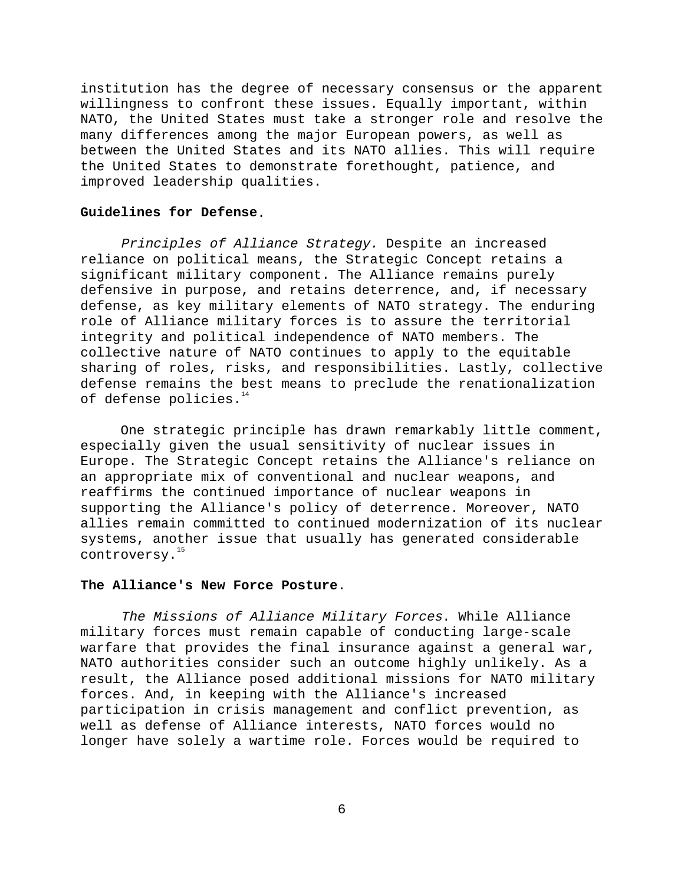institution has the degree of necessary consensus or the apparent willingness to confront these issues. Equally important, within NATO, the United States must take a stronger role and resolve the many differences among the major European powers, as well as between the United States and its NATO allies. This will require the United States to demonstrate forethought, patience, and improved leadership qualities.

# **Guidelines for Defense**.

Principles of Alliance Strategy. Despite an increased reliance on political means, the Strategic Concept retains a significant military component. The Alliance remains purely defensive in purpose, and retains deterrence, and, if necessary defense, as key military elements of NATO strategy. The enduring role of Alliance military forces is to assure the territorial integrity and political independence of NATO members. The collective nature of NATO continues to apply to the equitable sharing of roles, risks, and responsibilities. Lastly, collective defense remains the best means to preclude the renationalization of defense policies.<sup>14</sup>

One strategic principle has drawn remarkably little comment, especially given the usual sensitivity of nuclear issues in Europe. The Strategic Concept retains the Alliance's reliance on an appropriate mix of conventional and nuclear weapons, and reaffirms the continued importance of nuclear weapons in supporting the Alliance's policy of deterrence. Moreover, NATO allies remain committed to continued modernization of its nuclear systems, another issue that usually has generated considerable controversy.<sup>15</sup>

# **The Alliance's New Force Posture**.

The Missions of Alliance Military Forces. While Alliance military forces must remain capable of conducting large-scale warfare that provides the final insurance against a general war, NATO authorities consider such an outcome highly unlikely. As a result, the Alliance posed additional missions for NATO military forces. And, in keeping with the Alliance's increased participation in crisis management and conflict prevention, as well as defense of Alliance interests, NATO forces would no longer have solely a wartime role. Forces would be required to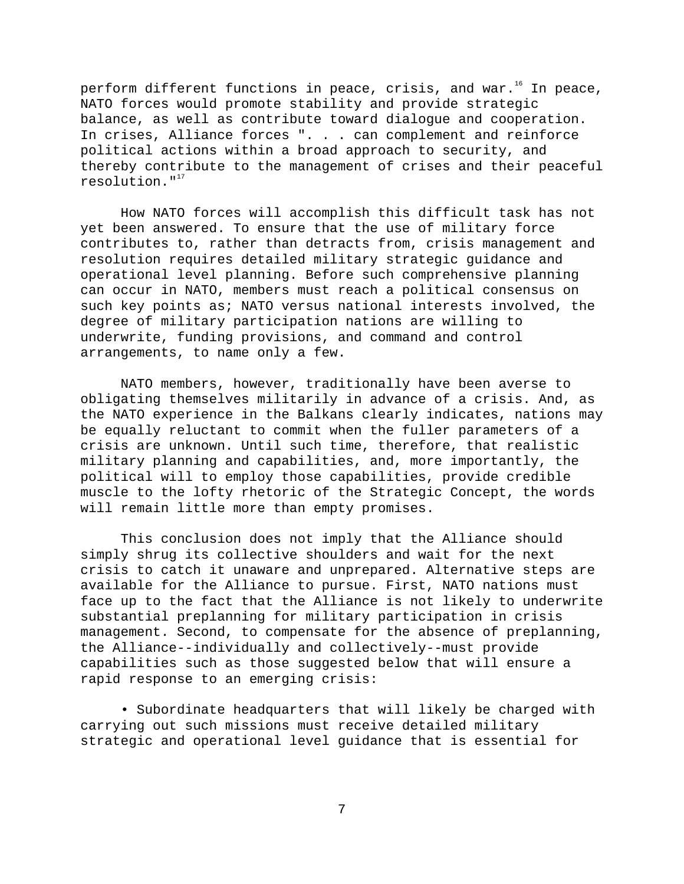perform different functions in peace, crisis, and war.<sup>16</sup> In peace, NATO forces would promote stability and provide strategic balance, as well as contribute toward dialogue and cooperation. In crises, Alliance forces ". . . can complement and reinforce political actions within a broad approach to security, and thereby contribute to the management of crises and their peaceful resolution. $1^{17}$ 

How NATO forces will accomplish this difficult task has not yet been answered. To ensure that the use of military force contributes to, rather than detracts from, crisis management and resolution requires detailed military strategic guidance and operational level planning. Before such comprehensive planning can occur in NATO, members must reach a political consensus on such key points as; NATO versus national interests involved, the degree of military participation nations are willing to underwrite, funding provisions, and command and control arrangements, to name only a few.

NATO members, however, traditionally have been averse to obligating themselves militarily in advance of a crisis. And, as the NATO experience in the Balkans clearly indicates, nations may be equally reluctant to commit when the fuller parameters of a crisis are unknown. Until such time, therefore, that realistic military planning and capabilities, and, more importantly, the political will to employ those capabilities, provide credible muscle to the lofty rhetoric of the Strategic Concept, the words will remain little more than empty promises.

This conclusion does not imply that the Alliance should simply shrug its collective shoulders and wait for the next crisis to catch it unaware and unprepared. Alternative steps are available for the Alliance to pursue. First, NATO nations must face up to the fact that the Alliance is not likely to underwrite substantial preplanning for military participation in crisis management. Second, to compensate for the absence of preplanning, the Alliance--individually and collectively--must provide capabilities such as those suggested below that will ensure a rapid response to an emerging crisis:

• Subordinate headquarters that will likely be charged with carrying out such missions must receive detailed military strategic and operational level guidance that is essential for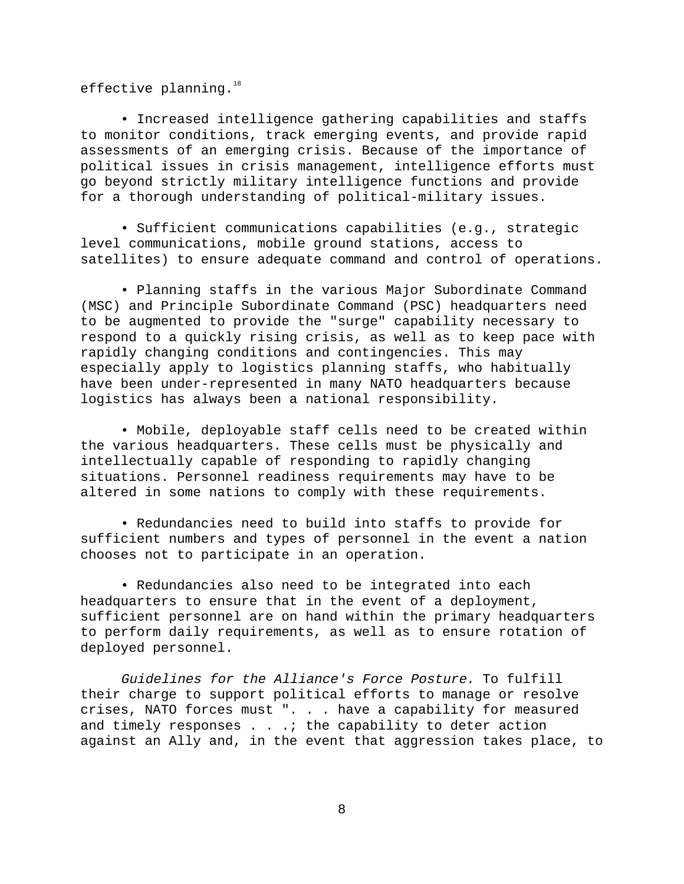effective planning.<sup>18</sup>

• Increased intelligence gathering capabilities and staffs to monitor conditions, track emerging events, and provide rapid assessments of an emerging crisis. Because of the importance of political issues in crisis management, intelligence efforts must go beyond strictly military intelligence functions and provide for a thorough understanding of political-military issues.

• Sufficient communications capabilities (e.g., strategic level communications, mobile ground stations, access to satellites) to ensure adequate command and control of operations.

• Planning staffs in the various Major Subordinate Command (MSC) and Principle Subordinate Command (PSC) headquarters need to be augmented to provide the "surge" capability necessary to respond to a quickly rising crisis, as well as to keep pace with rapidly changing conditions and contingencies. This may especially apply to logistics planning staffs, who habitually have been under-represented in many NATO headquarters because logistics has always been a national responsibility.

• Mobile, deployable staff cells need to be created within the various headquarters. These cells must be physically and intellectually capable of responding to rapidly changing situations. Personnel readiness requirements may have to be altered in some nations to comply with these requirements.

• Redundancies need to build into staffs to provide for sufficient numbers and types of personnel in the event a nation chooses not to participate in an operation.

• Redundancies also need to be integrated into each headquarters to ensure that in the event of a deployment, sufficient personnel are on hand within the primary headquarters to perform daily requirements, as well as to ensure rotation of deployed personnel.

Guidelines for the Alliance's Force Posture. To fulfill their charge to support political efforts to manage or resolve crises, NATO forces must ". . . have a capability for measured and timely responses . . .; the capability to deter action against an Ally and, in the event that aggression takes place, to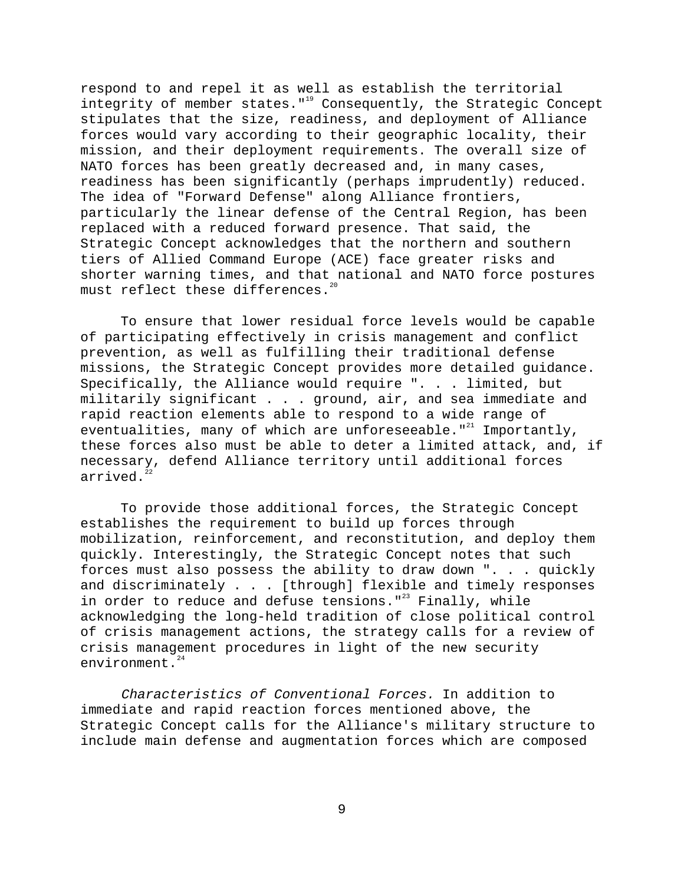respond to and repel it as well as establish the territorial integrity of member states. $"$ <sup>19</sup> Consequently, the Strategic Concept stipulates that the size, readiness, and deployment of Alliance forces would vary according to their geographic locality, their mission, and their deployment requirements. The overall size of NATO forces has been greatly decreased and, in many cases, readiness has been significantly (perhaps imprudently) reduced. The idea of "Forward Defense" along Alliance frontiers, particularly the linear defense of the Central Region, has been replaced with a reduced forward presence. That said, the Strategic Concept acknowledges that the northern and southern tiers of Allied Command Europe (ACE) face greater risks and shorter warning times, and that national and NATO force postures must reflect these differences. $20$ 

To ensure that lower residual force levels would be capable of participating effectively in crisis management and conflict prevention, as well as fulfilling their traditional defense missions, the Strategic Concept provides more detailed guidance. Specifically, the Alliance would require ". . . limited, but militarily significant . . . ground, air, and sea immediate and rapid reaction elements able to respond to a wide range of eventualities, many of which are unforeseeable." $21$  Importantly, these forces also must be able to deter a limited attack, and, if necessary, defend Alliance territory until additional forces arrived. $^{2}$ 

To provide those additional forces, the Strategic Concept establishes the requirement to build up forces through mobilization, reinforcement, and reconstitution, and deploy them quickly. Interestingly, the Strategic Concept notes that such forces must also possess the ability to draw down ". . . quickly and discriminately . . . [through] flexible and timely responses in order to reduce and defuse tensions." $^{23}$  Finally, while acknowledging the long-held tradition of close political control of crisis management actions, the strategy calls for a review of crisis management procedures in light of the new security environment. $24$ 

Characteristics of Conventional Forces. In addition to immediate and rapid reaction forces mentioned above, the Strategic Concept calls for the Alliance's military structure to include main defense and augmentation forces which are composed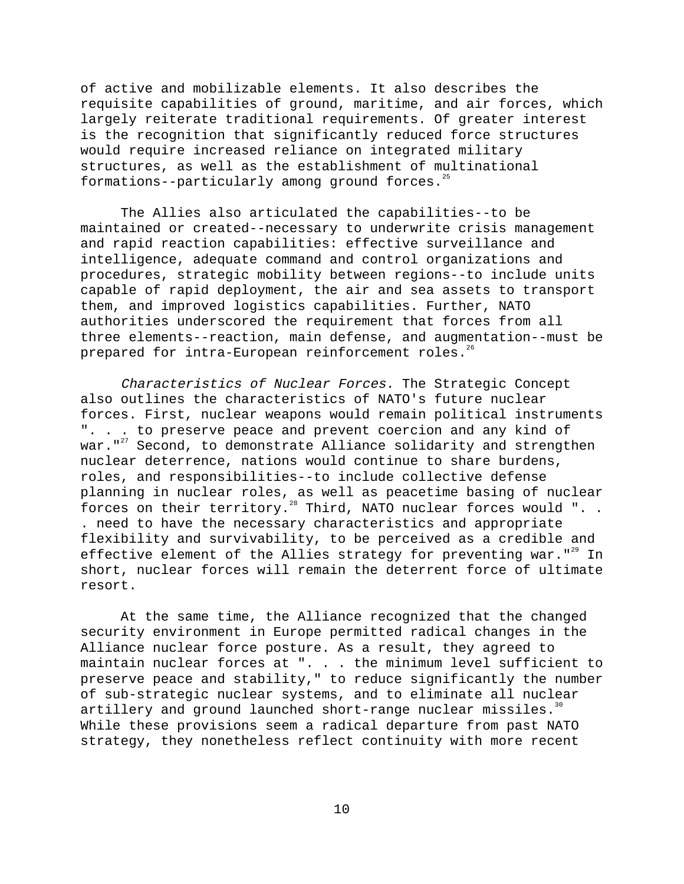of active and mobilizable elements. It also describes the requisite capabilities of ground, maritime, and air forces, which largely reiterate traditional requirements. Of greater interest is the recognition that significantly reduced force structures would require increased reliance on integrated military structures, as well as the establishment of multinational formations--particularly among ground forces. $25$ 

The Allies also articulated the capabilities--to be maintained or created--necessary to underwrite crisis management and rapid reaction capabilities: effective surveillance and intelligence, adequate command and control organizations and procedures, strategic mobility between regions--to include units capable of rapid deployment, the air and sea assets to transport them, and improved logistics capabilities. Further, NATO authorities underscored the requirement that forces from all three elements--reaction, main defense, and augmentation--must be prepared for intra-European reinforcement roles.<sup>26</sup>

Characteristics of Nuclear Forces. The Strategic Concept also outlines the characteristics of NATO's future nuclear forces. First, nuclear weapons would remain political instruments ". . . to preserve peace and prevent coercion and any kind of war."<sup>27</sup> Second, to demonstrate Alliance solidarity and strengthen nuclear deterrence, nations would continue to share burdens, roles, and responsibilities--to include collective defense planning in nuclear roles, as well as peacetime basing of nuclear forces on their territory.<sup>28</sup> Third, NATO nuclear forces would ". . . need to have the necessary characteristics and appropriate flexibility and survivability, to be perceived as a credible and effective element of the Allies strategy for preventing war." $^{29}$  In short, nuclear forces will remain the deterrent force of ultimate resort.

At the same time, the Alliance recognized that the changed security environment in Europe permitted radical changes in the Alliance nuclear force posture. As a result, they agreed to maintain nuclear forces at ". . . the minimum level sufficient to preserve peace and stability," to reduce significantly the number of sub-strategic nuclear systems, and to eliminate all nuclear artillery and ground launched short-range nuclear missiles.<sup>30</sup> While these provisions seem a radical departure from past NATO strategy, they nonetheless reflect continuity with more recent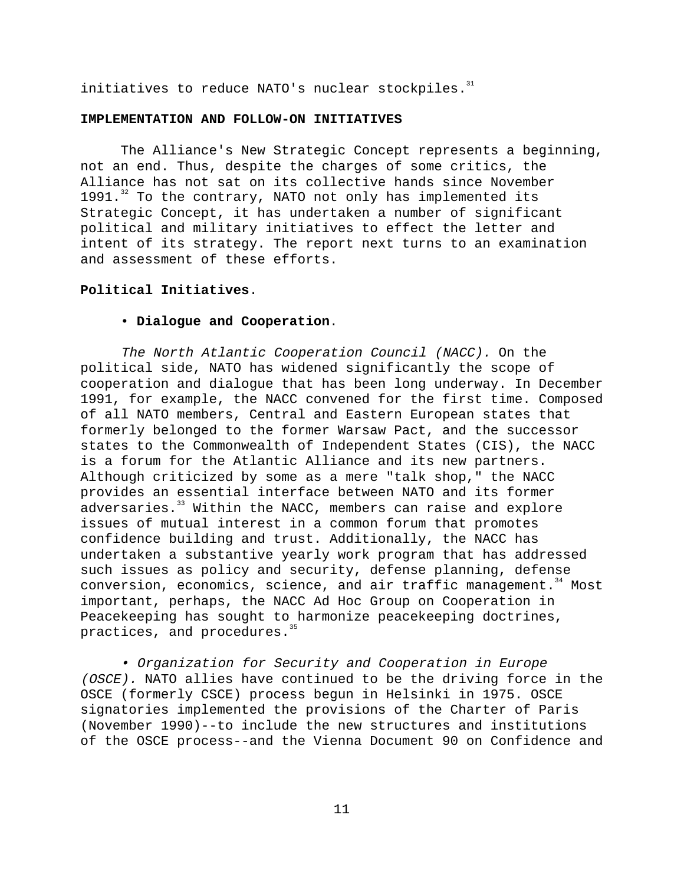initiatives to reduce NATO's nuclear stockpiles. $31$ 

### **IMPLEMENTATION AND FOLLOW-ON INITIATIVES**

The Alliance's New Strategic Concept represents a beginning, not an end. Thus, despite the charges of some critics, the Alliance has not sat on its collective hands since November 1991. $^{32}$  To the contrary, NATO not only has implemented its Strategic Concept, it has undertaken a number of significant political and military initiatives to effect the letter and intent of its strategy. The report next turns to an examination and assessment of these efforts.

# **Political Initiatives**.

# • **Dialogue and Cooperation**.

The North Atlantic Cooperation Council (NACC). On the political side, NATO has widened significantly the scope of cooperation and dialogue that has been long underway. In December 1991, for example, the NACC convened for the first time. Composed of all NATO members, Central and Eastern European states that formerly belonged to the former Warsaw Pact, and the successor states to the Commonwealth of Independent States (CIS), the NACC is a forum for the Atlantic Alliance and its new partners. Although criticized by some as a mere "talk shop," the NACC provides an essential interface between NATO and its former adversaries.<sup>33</sup> Within the NACC, members can raise and explore issues of mutual interest in a common forum that promotes confidence building and trust. Additionally, the NACC has undertaken a substantive yearly work program that has addressed such issues as policy and security, defense planning, defense conversion, economics, science, and air traffic management.<sup>34</sup> Most important, perhaps, the NACC Ad Hoc Group on Cooperation in Peacekeeping has sought to harmonize peacekeeping doctrines, practices, and procedures.<sup>35</sup>

• Organization for Security and Cooperation in Europe (OSCE). NATO allies have continued to be the driving force in the OSCE (formerly CSCE) process begun in Helsinki in 1975. OSCE signatories implemented the provisions of the Charter of Paris (November 1990)--to include the new structures and institutions of the OSCE process--and the Vienna Document 90 on Confidence and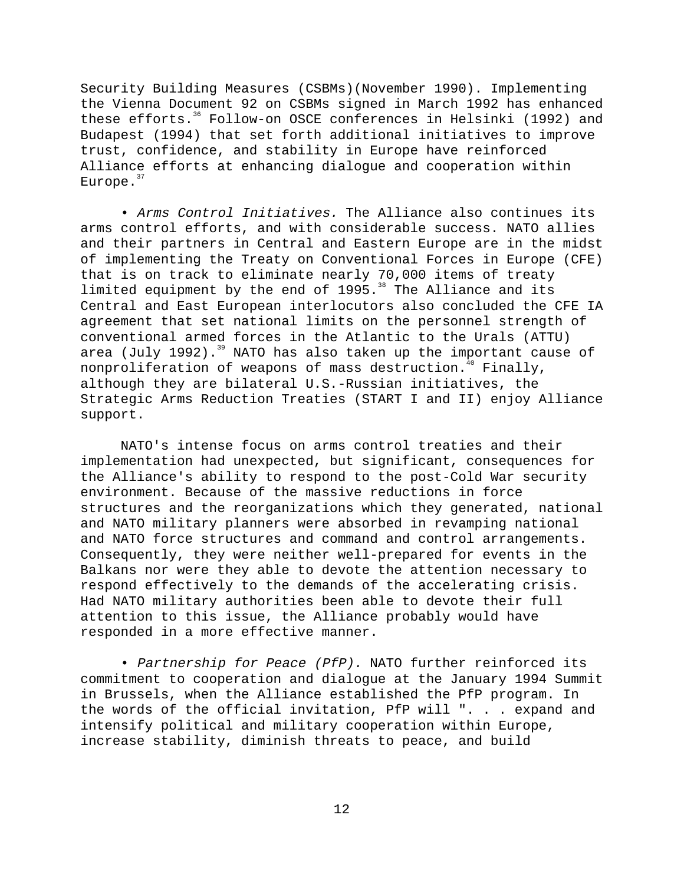Security Building Measures (CSBMs)(November 1990). Implementing the Vienna Document 92 on CSBMs signed in March 1992 has enhanced these efforts.<sup>36</sup> Follow-on OSCE conferences in Helsinki (1992) and Budapest (1994) that set forth additional initiatives to improve trust, confidence, and stability in Europe have reinforced Alliance efforts at enhancing dialogue and cooperation within Europe. $37$ 

• Arms Control Initiatives. The Alliance also continues its arms control efforts, and with considerable success. NATO allies and their partners in Central and Eastern Europe are in the midst of implementing the Treaty on Conventional Forces in Europe (CFE) that is on track to eliminate nearly 70,000 items of treaty limited equipment by the end of  $1995.^38$  The Alliance and its Central and East European interlocutors also concluded the CFE IA agreement that set national limits on the personnel strength of conventional armed forces in the Atlantic to the Urals (ATTU) area (July 1992).<sup>39</sup> NATO has also taken up the important cause of nonproliferation of weapons of mass destruction.<sup>40</sup> Finally, although they are bilateral U.S.-Russian initiatives, the Strategic Arms Reduction Treaties (START I and II) enjoy Alliance support.

NATO's intense focus on arms control treaties and their implementation had unexpected, but significant, consequences for the Alliance's ability to respond to the post-Cold War security environment. Because of the massive reductions in force structures and the reorganizations which they generated, national and NATO military planners were absorbed in revamping national and NATO force structures and command and control arrangements. Consequently, they were neither well-prepared for events in the Balkans nor were they able to devote the attention necessary to respond effectively to the demands of the accelerating crisis. Had NATO military authorities been able to devote their full attention to this issue, the Alliance probably would have responded in a more effective manner.

• Partnership for Peace (PfP). NATO further reinforced its commitment to cooperation and dialogue at the January 1994 Summit in Brussels, when the Alliance established the PfP program. In the words of the official invitation, PfP will ". . . expand and intensify political and military cooperation within Europe, increase stability, diminish threats to peace, and build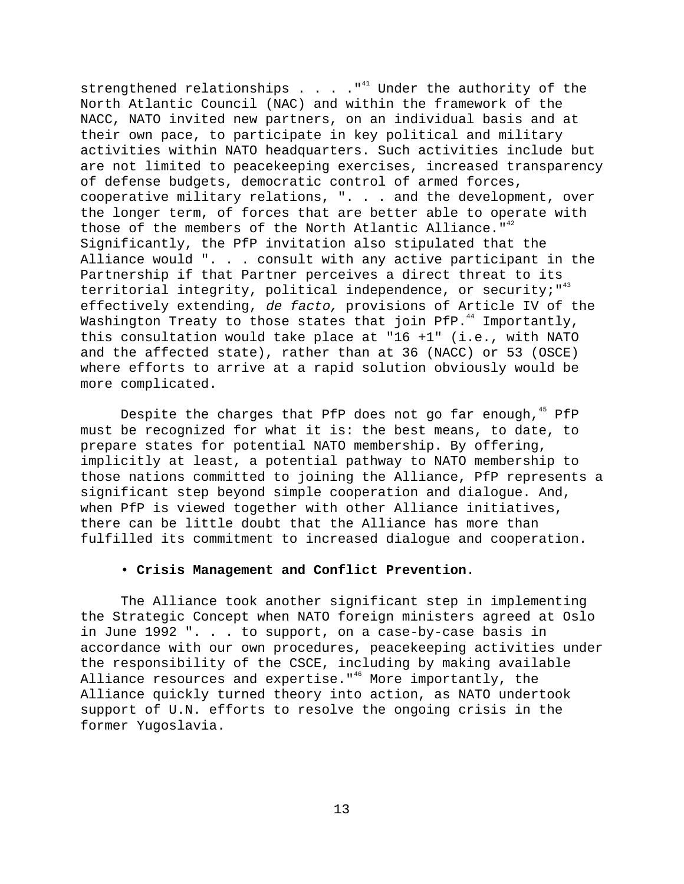strengthened relationships . . .  $\cdot$  "<sup>41</sup> Under the authority of the North Atlantic Council (NAC) and within the framework of the NACC, NATO invited new partners, on an individual basis and at their own pace, to participate in key political and military activities within NATO headquarters. Such activities include but are not limited to peacekeeping exercises, increased transparency of defense budgets, democratic control of armed forces, cooperative military relations, ". . . and the development, over the longer term, of forces that are better able to operate with those of the members of the North Atlantic Alliance.  $1^{42}$ Significantly, the PfP invitation also stipulated that the Alliance would ". . . consult with any active participant in the Partnership if that Partner perceives a direct threat to its territorial integrity, political independence, or security;  $143$ effectively extending, de facto, provisions of Article IV of the Washington Treaty to those states that join PfP. $44$  Importantly, this consultation would take place at "16 +1" (i.e., with NATO and the affected state), rather than at 36 (NACC) or 53 (OSCE) where efforts to arrive at a rapid solution obviously would be more complicated.

Despite the charges that PfP does not go far enough, <sup>45</sup> PfP must be recognized for what it is: the best means, to date, to prepare states for potential NATO membership. By offering, implicitly at least, a potential pathway to NATO membership to those nations committed to joining the Alliance, PfP represents a significant step beyond simple cooperation and dialogue. And, when PfP is viewed together with other Alliance initiatives, there can be little doubt that the Alliance has more than fulfilled its commitment to increased dialogue and cooperation.

# • **Crisis Management and Conflict Prevention**.

The Alliance took another significant step in implementing the Strategic Concept when NATO foreign ministers agreed at Oslo in June 1992 ". . . to support, on a case-by-case basis in accordance with our own procedures, peacekeeping activities under the responsibility of the CSCE, including by making available Alliance resources and expertise."<sup>46</sup> More importantly, the Alliance quickly turned theory into action, as NATO undertook support of U.N. efforts to resolve the ongoing crisis in the former Yugoslavia.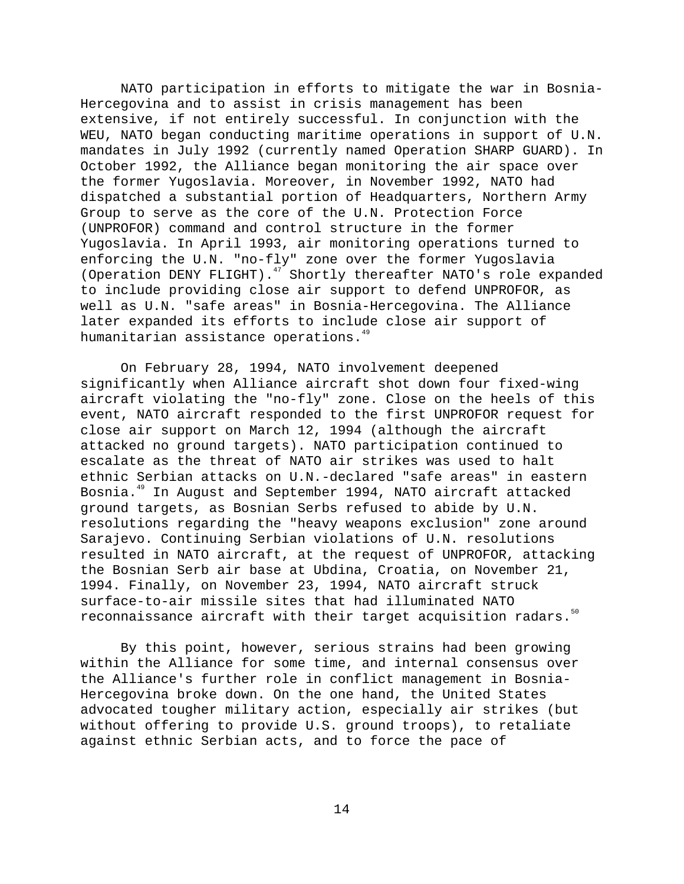NATO participation in efforts to mitigate the war in Bosnia-Hercegovina and to assist in crisis management has been extensive, if not entirely successful. In conjunction with the WEU, NATO began conducting maritime operations in support of U.N. mandates in July 1992 (currently named Operation SHARP GUARD). In October 1992, the Alliance began monitoring the air space over the former Yugoslavia. Moreover, in November 1992, NATO had dispatched a substantial portion of Headquarters, Northern Army Group to serve as the core of the U.N. Protection Force (UNPROFOR) command and control structure in the former Yugoslavia. In April 1993, air monitoring operations turned to enforcing the U.N. "no-fly" zone over the former Yugoslavia (Operation DENY FLIGHT).<sup>47</sup> Shortly thereafter NATO's role expanded to include providing close air support to defend UNPROFOR, as well as U.N. "safe areas" in Bosnia-Hercegovina. The Alliance later expanded its efforts to include close air support of humanitarian assistance operations.<sup>49</sup>

On February 28, 1994, NATO involvement deepened significantly when Alliance aircraft shot down four fixed-wing aircraft violating the "no-fly" zone. Close on the heels of this event, NATO aircraft responded to the first UNPROFOR request for close air support on March 12, 1994 (although the aircraft attacked no ground targets). NATO participation continued to escalate as the threat of NATO air strikes was used to halt ethnic Serbian attacks on U.N.-declared "safe areas" in eastern Bosnia.49 In August and September 1994, NATO aircraft attacked ground targets, as Bosnian Serbs refused to abide by U.N. resolutions regarding the "heavy weapons exclusion" zone around Sarajevo. Continuing Serbian violations of U.N. resolutions resulted in NATO aircraft, at the request of UNPROFOR, attacking the Bosnian Serb air base at Ubdina, Croatia, on November 21, 1994. Finally, on November 23, 1994, NATO aircraft struck surface-to-air missile sites that had illuminated NATO reconnaissance aircraft with their target acquisition radars.<sup>50</sup>

By this point, however, serious strains had been growing within the Alliance for some time, and internal consensus over the Alliance's further role in conflict management in Bosnia-Hercegovina broke down. On the one hand, the United States advocated tougher military action, especially air strikes (but without offering to provide U.S. ground troops), to retaliate against ethnic Serbian acts, and to force the pace of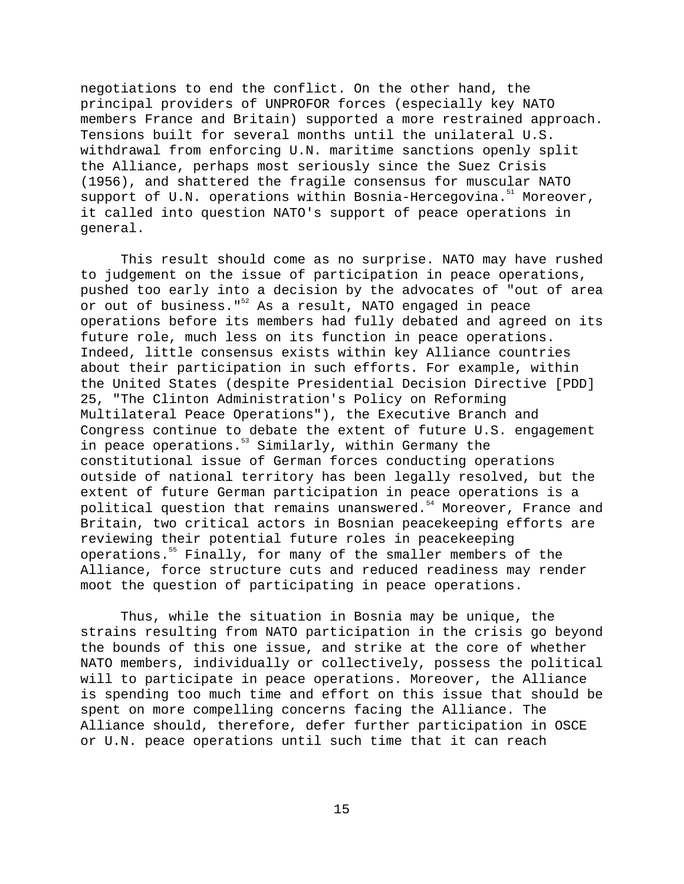negotiations to end the conflict. On the other hand, the principal providers of UNPROFOR forces (especially key NATO members France and Britain) supported a more restrained approach. Tensions built for several months until the unilateral U.S. withdrawal from enforcing U.N. maritime sanctions openly split the Alliance, perhaps most seriously since the Suez Crisis (1956), and shattered the fragile consensus for muscular NATO support of U.N. operations within Bosnia-Hercegovina.<sup>51</sup> Moreover, it called into question NATO's support of peace operations in general.

This result should come as no surprise. NATO may have rushed to judgement on the issue of participation in peace operations, pushed too early into a decision by the advocates of "out of area or out of business."<sup>52</sup> As a result, NATO engaged in peace operations before its members had fully debated and agreed on its future role, much less on its function in peace operations. Indeed, little consensus exists within key Alliance countries about their participation in such efforts. For example, within the United States (despite Presidential Decision Directive [PDD] 25, "The Clinton Administration's Policy on Reforming Multilateral Peace Operations"), the Executive Branch and Congress continue to debate the extent of future U.S. engagement in peace operations.<sup>53</sup> Similarly, within Germany the constitutional issue of German forces conducting operations outside of national territory has been legally resolved, but the extent of future German participation in peace operations is a political question that remains unanswered.<sup>54</sup> Moreover, France and Britain, two critical actors in Bosnian peacekeeping efforts are reviewing their potential future roles in peacekeeping operations.<sup>55</sup> Finally, for many of the smaller members of the Alliance, force structure cuts and reduced readiness may render moot the question of participating in peace operations.

Thus, while the situation in Bosnia may be unique, the strains resulting from NATO participation in the crisis go beyond the bounds of this one issue, and strike at the core of whether NATO members, individually or collectively, possess the political will to participate in peace operations. Moreover, the Alliance is spending too much time and effort on this issue that should be spent on more compelling concerns facing the Alliance. The Alliance should, therefore, defer further participation in OSCE or U.N. peace operations until such time that it can reach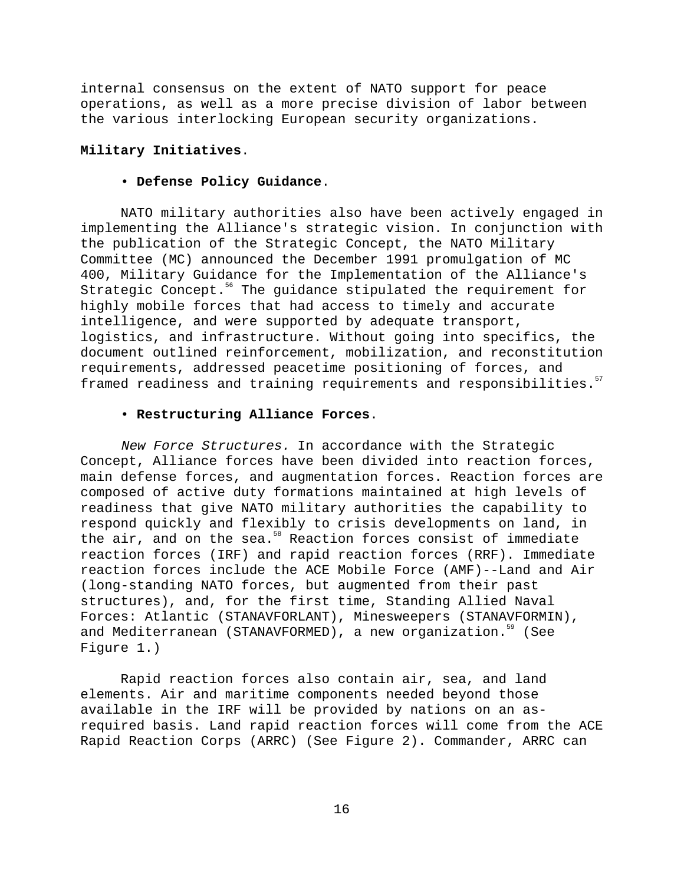internal consensus on the extent of NATO support for peace operations, as well as a more precise division of labor between the various interlocking European security organizations.

# **Military Initiatives**.

## • **Defense Policy Guidance**.

NATO military authorities also have been actively engaged in implementing the Alliance's strategic vision. In conjunction with the publication of the Strategic Concept, the NATO Military Committee (MC) announced the December 1991 promulgation of MC 400, Military Guidance for the Implementation of the Alliance's Strategic Concept.<sup>56</sup> The guidance stipulated the requirement for highly mobile forces that had access to timely and accurate intelligence, and were supported by adequate transport, logistics, and infrastructure. Without going into specifics, the document outlined reinforcement, mobilization, and reconstitution requirements, addressed peacetime positioning of forces, and framed readiness and training requirements and responsibilities.<sup>57</sup>

# • **Restructuring Alliance Forces**.

New Force Structures. In accordance with the Strategic Concept, Alliance forces have been divided into reaction forces, main defense forces, and augmentation forces. Reaction forces are composed of active duty formations maintained at high levels of readiness that give NATO military authorities the capability to respond quickly and flexibly to crisis developments on land, in the air, and on the sea. $58$  Reaction forces consist of immediate reaction forces (IRF) and rapid reaction forces (RRF). Immediate reaction forces include the ACE Mobile Force (AMF)--Land and Air (long-standing NATO forces, but augmented from their past structures), and, for the first time, Standing Allied Naval Forces: Atlantic (STANAVFORLANT), Minesweepers (STANAVFORMIN), and Mediterranean (STANAVFORMED), a new organization.<sup>59</sup> (See Figure 1.)

Rapid reaction forces also contain air, sea, and land elements. Air and maritime components needed beyond those available in the IRF will be provided by nations on an asrequired basis. Land rapid reaction forces will come from the ACE Rapid Reaction Corps (ARRC) (See Figure 2). Commander, ARRC can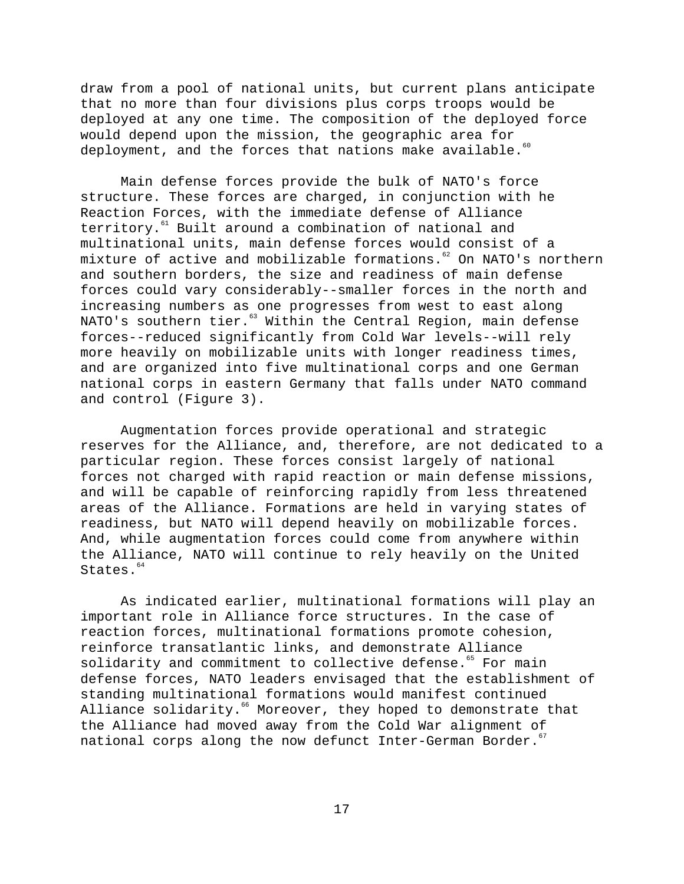draw from a pool of national units, but current plans anticipate that no more than four divisions plus corps troops would be deployed at any one time. The composition of the deployed force would depend upon the mission, the geographic area for deployment, and the forces that nations make available. $60$ 

Main defense forces provide the bulk of NATO's force structure. These forces are charged, in conjunction with he Reaction Forces, with the immediate defense of Alliance territory.<sup>61</sup> Built around a combination of national and multinational units, main defense forces would consist of a mixture of active and mobilizable formations.<sup>62</sup> On NATO's northern and southern borders, the size and readiness of main defense forces could vary considerably--smaller forces in the north and increasing numbers as one progresses from west to east along NATO's southern tier.<sup>63</sup> Within the Central Region, main defense forces--reduced significantly from Cold War levels--will rely more heavily on mobilizable units with longer readiness times, and are organized into five multinational corps and one German national corps in eastern Germany that falls under NATO command and control (Figure 3).

Augmentation forces provide operational and strategic reserves for the Alliance, and, therefore, are not dedicated to a particular region. These forces consist largely of national forces not charged with rapid reaction or main defense missions, and will be capable of reinforcing rapidly from less threatened areas of the Alliance. Formations are held in varying states of readiness, but NATO will depend heavily on mobilizable forces. And, while augmentation forces could come from anywhere within the Alliance, NATO will continue to rely heavily on the United States.<sup>64</sup>

As indicated earlier, multinational formations will play an important role in Alliance force structures. In the case of reaction forces, multinational formations promote cohesion, reinforce transatlantic links, and demonstrate Alliance solidarity and commitment to collective defense.<sup>65</sup> For main defense forces, NATO leaders envisaged that the establishment of standing multinational formations would manifest continued Alliance solidarity.<sup>66</sup> Moreover, they hoped to demonstrate that the Alliance had moved away from the Cold War alignment of national corps along the now defunct Inter-German Border.<sup>67</sup>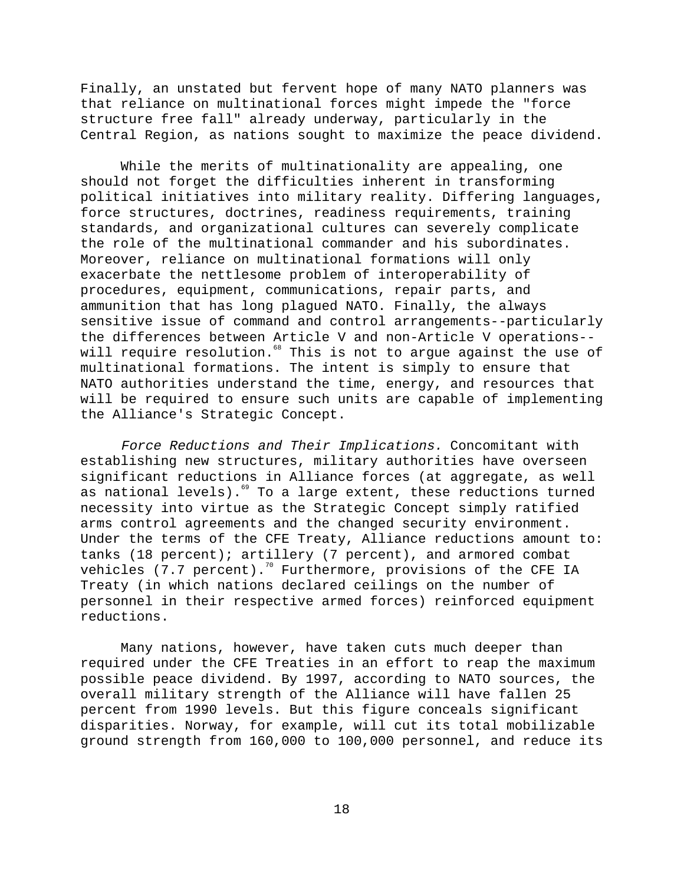Finally, an unstated but fervent hope of many NATO planners was that reliance on multinational forces might impede the "force structure free fall" already underway, particularly in the Central Region, as nations sought to maximize the peace dividend.

While the merits of multinationality are appealing, one should not forget the difficulties inherent in transforming political initiatives into military reality. Differing languages, force structures, doctrines, readiness requirements, training standards, and organizational cultures can severely complicate the role of the multinational commander and his subordinates. Moreover, reliance on multinational formations will only exacerbate the nettlesome problem of interoperability of procedures, equipment, communications, repair parts, and ammunition that has long plagued NATO. Finally, the always sensitive issue of command and control arrangements--particularly the differences between Article V and non-Article V operations- will require resolution.<sup>68</sup> This is not to argue against the use of multinational formations. The intent is simply to ensure that NATO authorities understand the time, energy, and resources that will be required to ensure such units are capable of implementing the Alliance's Strategic Concept.

Force Reductions and Their Implications. Concomitant with establishing new structures, military authorities have overseen significant reductions in Alliance forces (at aggregate, as well as national levels).<sup>69</sup> To a large extent, these reductions turned necessity into virtue as the Strategic Concept simply ratified arms control agreements and the changed security environment. Under the terms of the CFE Treaty, Alliance reductions amount to: tanks (18 percent); artillery (7 percent), and armored combat vehicles  $(7.7 \text{ percent})$ .<sup>70</sup> Furthermore, provisions of the CFE IA Treaty (in which nations declared ceilings on the number of personnel in their respective armed forces) reinforced equipment reductions.

Many nations, however, have taken cuts much deeper than required under the CFE Treaties in an effort to reap the maximum possible peace dividend. By 1997, according to NATO sources, the overall military strength of the Alliance will have fallen 25 percent from 1990 levels. But this figure conceals significant disparities. Norway, for example, will cut its total mobilizable ground strength from 160,000 to 100,000 personnel, and reduce its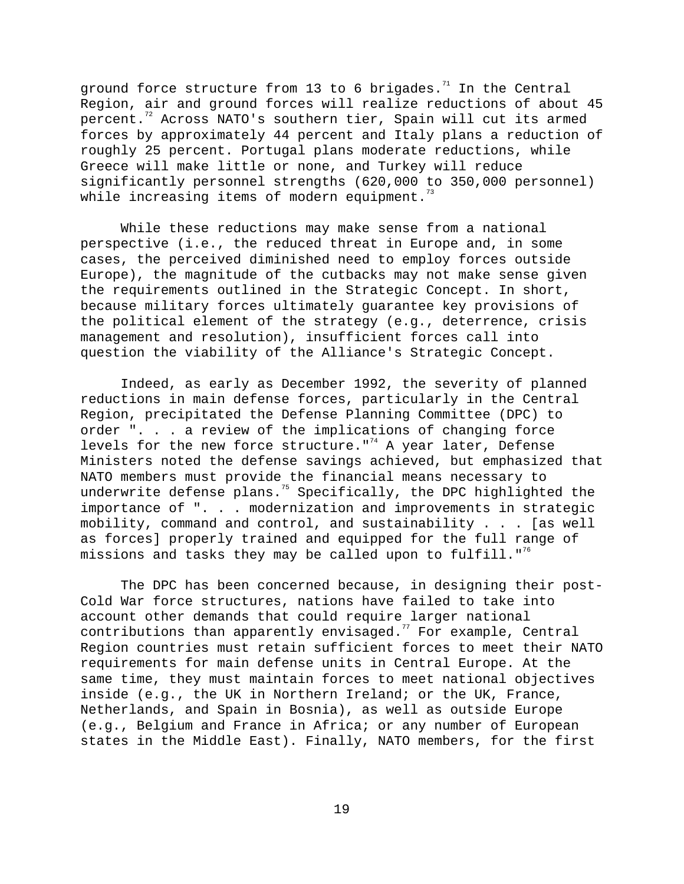ground force structure from 13 to 6 brigades.<sup>71</sup> In the Central Region, air and ground forces will realize reductions of about 45 percent.<sup>72</sup> Across NATO's southern tier, Spain will cut its armed forces by approximately 44 percent and Italy plans a reduction of roughly 25 percent. Portugal plans moderate reductions, while Greece will make little or none, and Turkey will reduce significantly personnel strengths (620,000 to 350,000 personnel) while increasing items of modern equipment. $73$ 

While these reductions may make sense from a national perspective (i.e., the reduced threat in Europe and, in some cases, the perceived diminished need to employ forces outside Europe), the magnitude of the cutbacks may not make sense given the requirements outlined in the Strategic Concept. In short, because military forces ultimately guarantee key provisions of the political element of the strategy (e.g., deterrence, crisis management and resolution), insufficient forces call into question the viability of the Alliance's Strategic Concept.

Indeed, as early as December 1992, the severity of planned reductions in main defense forces, particularly in the Central Region, precipitated the Defense Planning Committee (DPC) to order ". . . a review of the implications of changing force levels for the new force structure."<sup>74</sup> A year later, Defense Ministers noted the defense savings achieved, but emphasized that NATO members must provide the financial means necessary to underwrite defense plans.<sup>75</sup> Specifically, the DPC highlighted the importance of ". . . modernization and improvements in strategic mobility, command and control, and sustainability . . . [as well as forces] properly trained and equipped for the full range of missions and tasks they may be called upon to fulfill."<sup>76</sup>

The DPC has been concerned because, in designing their post-Cold War force structures, nations have failed to take into account other demands that could require larger national contributions than apparently envisaged.<sup>77</sup> For example, Central Region countries must retain sufficient forces to meet their NATO requirements for main defense units in Central Europe. At the same time, they must maintain forces to meet national objectives inside (e.g., the UK in Northern Ireland; or the UK, France, Netherlands, and Spain in Bosnia), as well as outside Europe (e.g., Belgium and France in Africa; or any number of European states in the Middle East). Finally, NATO members, for the first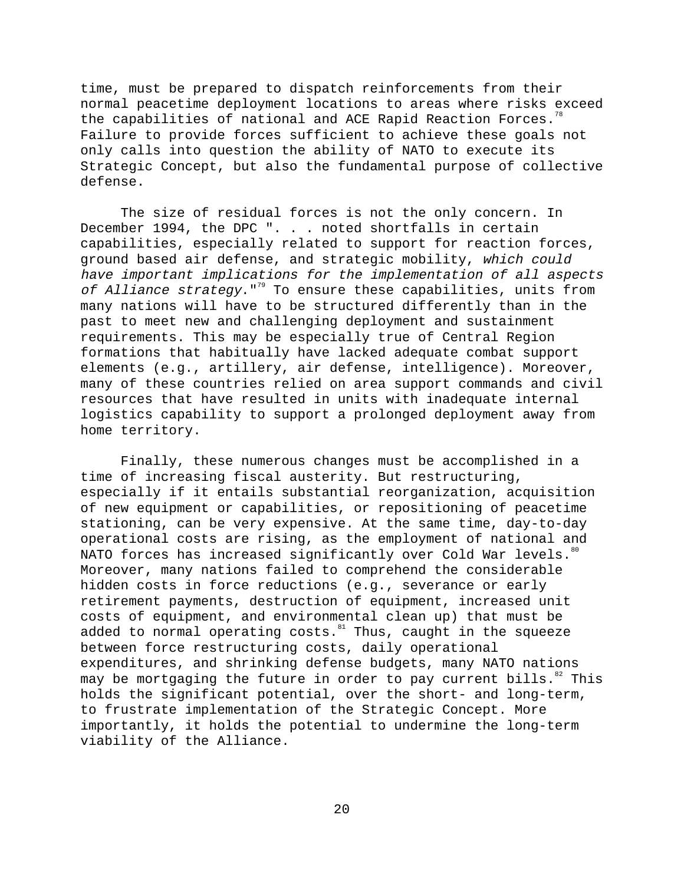time, must be prepared to dispatch reinforcements from their normal peacetime deployment locations to areas where risks exceed the capabilities of national and ACE Rapid Reaction Forces.<sup>78</sup> Failure to provide forces sufficient to achieve these goals not only calls into question the ability of NATO to execute its Strategic Concept, but also the fundamental purpose of collective defense.

The size of residual forces is not the only concern. In December 1994, the DPC ". . . noted shortfalls in certain capabilities, especially related to support for reaction forces, ground based air defense, and strategic mobility, which could have important implications for the implementation of all aspects of Alliance strategy."<sup>79</sup> To ensure these capabilities, units from many nations will have to be structured differently than in the past to meet new and challenging deployment and sustainment requirements. This may be especially true of Central Region formations that habitually have lacked adequate combat support elements (e.g., artillery, air defense, intelligence). Moreover, many of these countries relied on area support commands and civil resources that have resulted in units with inadequate internal logistics capability to support a prolonged deployment away from home territory.

Finally, these numerous changes must be accomplished in a time of increasing fiscal austerity. But restructuring, especially if it entails substantial reorganization, acquisition of new equipment or capabilities, or repositioning of peacetime stationing, can be very expensive. At the same time, day-to-day operational costs are rising, as the employment of national and NATO forces has increased significantly over Cold War levels.<sup>80</sup> Moreover, many nations failed to comprehend the considerable hidden costs in force reductions (e.g., severance or early retirement payments, destruction of equipment, increased unit costs of equipment, and environmental clean up) that must be added to normal operating costs. ${}^{81}$  Thus, caught in the squeeze between force restructuring costs, daily operational expenditures, and shrinking defense budgets, many NATO nations may be mortgaging the future in order to pay current bills.<sup>82</sup> This holds the significant potential, over the short- and long-term, to frustrate implementation of the Strategic Concept. More importantly, it holds the potential to undermine the long-term viability of the Alliance.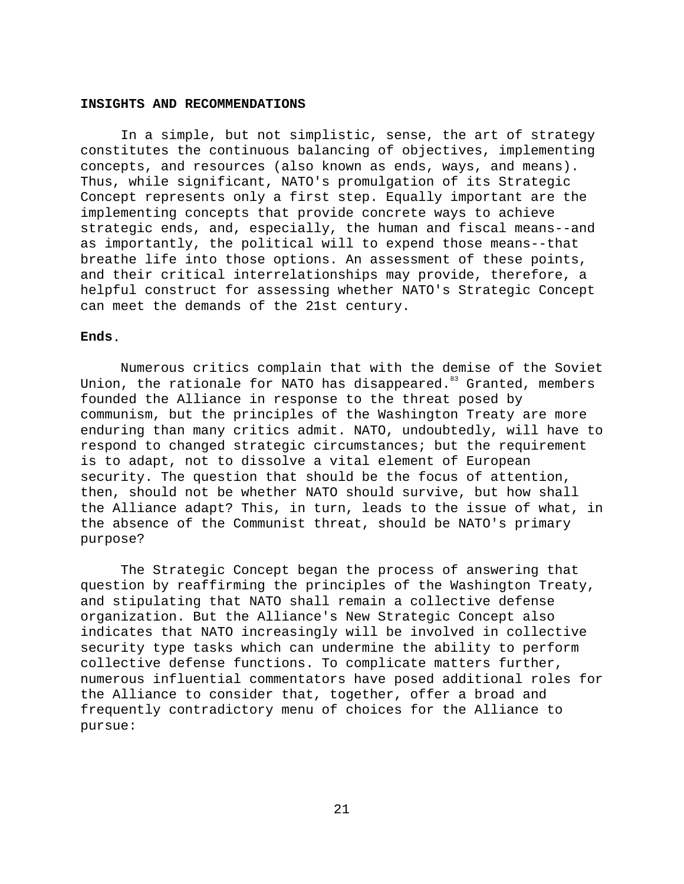### **INSIGHTS AND RECOMMENDATIONS**

In a simple, but not simplistic, sense, the art of strategy constitutes the continuous balancing of objectives, implementing concepts, and resources (also known as ends, ways, and means). Thus, while significant, NATO's promulgation of its Strategic Concept represents only a first step. Equally important are the implementing concepts that provide concrete ways to achieve strategic ends, and, especially, the human and fiscal means--and as importantly, the political will to expend those means--that breathe life into those options. An assessment of these points, and their critical interrelationships may provide, therefore, a helpful construct for assessing whether NATO's Strategic Concept can meet the demands of the 21st century.

# **Ends**.

Numerous critics complain that with the demise of the Soviet Union, the rationale for NATO has disappeared. $83$  Granted, members founded the Alliance in response to the threat posed by communism, but the principles of the Washington Treaty are more enduring than many critics admit. NATO, undoubtedly, will have to respond to changed strategic circumstances; but the requirement is to adapt, not to dissolve a vital element of European security. The question that should be the focus of attention, then, should not be whether NATO should survive, but how shall the Alliance adapt? This, in turn, leads to the issue of what, in the absence of the Communist threat, should be NATO's primary purpose?

The Strategic Concept began the process of answering that question by reaffirming the principles of the Washington Treaty, and stipulating that NATO shall remain a collective defense organization. But the Alliance's New Strategic Concept also indicates that NATO increasingly will be involved in collective security type tasks which can undermine the ability to perform collective defense functions. To complicate matters further, numerous influential commentators have posed additional roles for the Alliance to consider that, together, offer a broad and frequently contradictory menu of choices for the Alliance to pursue: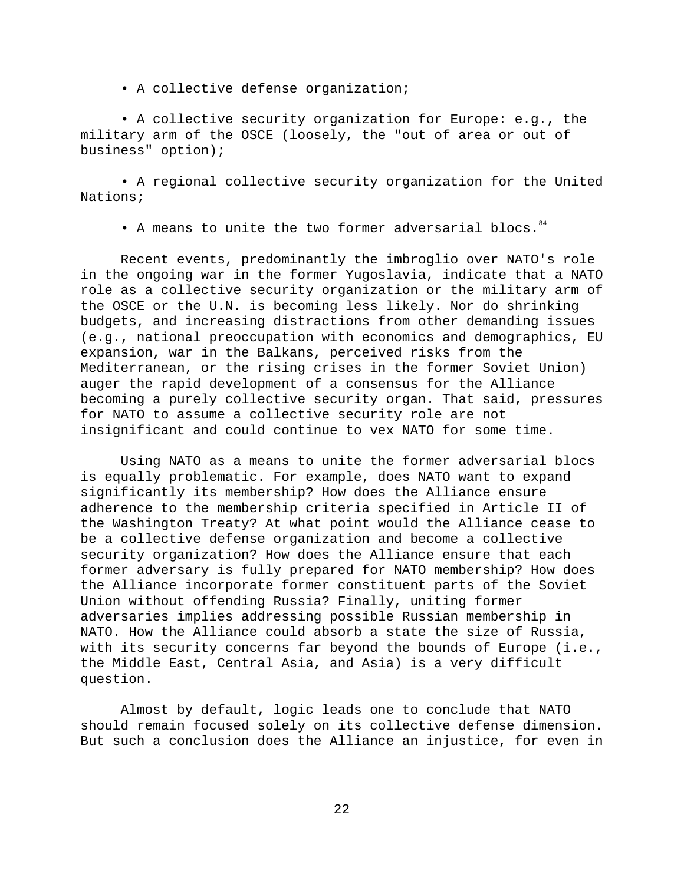• A collective defense organization;

• A collective security organization for Europe: e.g., the military arm of the OSCE (loosely, the "out of area or out of business" option);

• A regional collective security organization for the United Nations;

• A means to unite the two former adversarial blocs.  $84$ 

Recent events, predominantly the imbroglio over NATO's role in the ongoing war in the former Yugoslavia, indicate that a NATO role as a collective security organization or the military arm of the OSCE or the U.N. is becoming less likely. Nor do shrinking budgets, and increasing distractions from other demanding issues (e.g., national preoccupation with economics and demographics, EU expansion, war in the Balkans, perceived risks from the Mediterranean, or the rising crises in the former Soviet Union) auger the rapid development of a consensus for the Alliance becoming a purely collective security organ. That said, pressures for NATO to assume a collective security role are not insignificant and could continue to vex NATO for some time.

Using NATO as a means to unite the former adversarial blocs is equally problematic. For example, does NATO want to expand significantly its membership? How does the Alliance ensure adherence to the membership criteria specified in Article II of the Washington Treaty? At what point would the Alliance cease to be a collective defense organization and become a collective security organization? How does the Alliance ensure that each former adversary is fully prepared for NATO membership? How does the Alliance incorporate former constituent parts of the Soviet Union without offending Russia? Finally, uniting former adversaries implies addressing possible Russian membership in NATO. How the Alliance could absorb a state the size of Russia, with its security concerns far beyond the bounds of Europe (i.e., the Middle East, Central Asia, and Asia) is a very difficult question.

Almost by default, logic leads one to conclude that NATO should remain focused solely on its collective defense dimension. But such a conclusion does the Alliance an injustice, for even in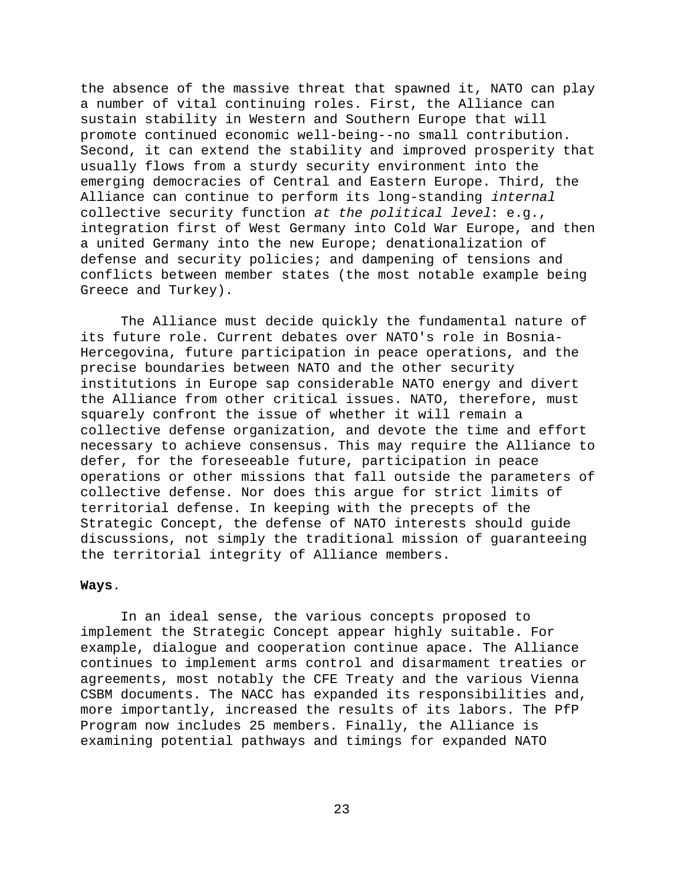the absence of the massive threat that spawned it, NATO can play a number of vital continuing roles. First, the Alliance can sustain stability in Western and Southern Europe that will promote continued economic well-being--no small contribution. Second, it can extend the stability and improved prosperity that usually flows from a sturdy security environment into the emerging democracies of Central and Eastern Europe. Third, the Alliance can continue to perform its long-standing internal collective security function at the political level: e.g., integration first of West Germany into Cold War Europe, and then a united Germany into the new Europe; denationalization of defense and security policies; and dampening of tensions and conflicts between member states (the most notable example being Greece and Turkey).

The Alliance must decide quickly the fundamental nature of its future role. Current debates over NATO's role in Bosnia-Hercegovina, future participation in peace operations, and the precise boundaries between NATO and the other security institutions in Europe sap considerable NATO energy and divert the Alliance from other critical issues. NATO, therefore, must squarely confront the issue of whether it will remain a collective defense organization, and devote the time and effort necessary to achieve consensus. This may require the Alliance to defer, for the foreseeable future, participation in peace operations or other missions that fall outside the parameters of collective defense. Nor does this argue for strict limits of territorial defense. In keeping with the precepts of the Strategic Concept, the defense of NATO interests should guide discussions, not simply the traditional mission of guaranteeing the territorial integrity of Alliance members.

### **Ways**.

In an ideal sense, the various concepts proposed to implement the Strategic Concept appear highly suitable. For example, dialogue and cooperation continue apace. The Alliance continues to implement arms control and disarmament treaties or agreements, most notably the CFE Treaty and the various Vienna CSBM documents. The NACC has expanded its responsibilities and, more importantly, increased the results of its labors. The PfP Program now includes 25 members. Finally, the Alliance is examining potential pathways and timings for expanded NATO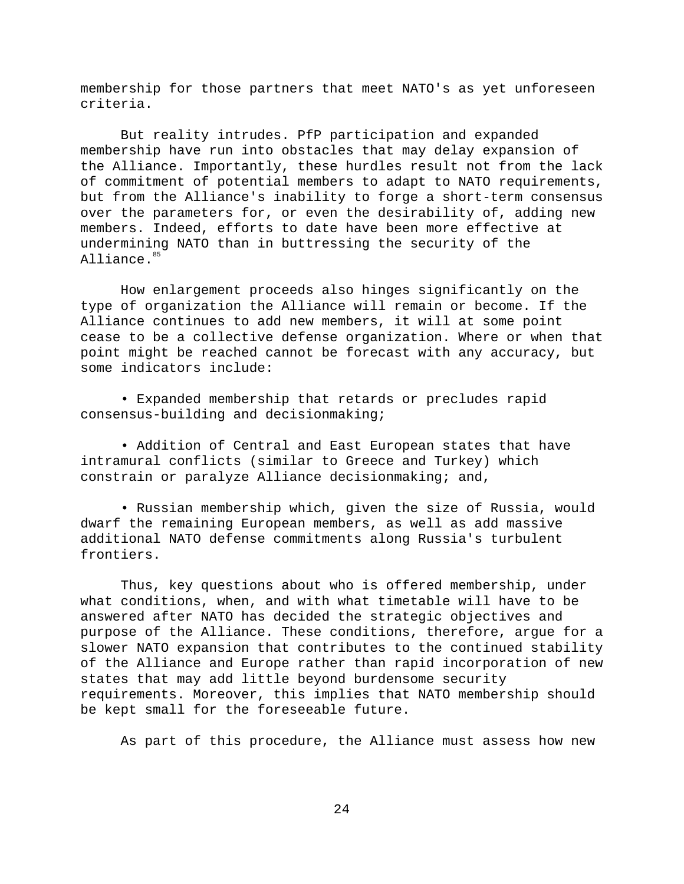membership for those partners that meet NATO's as yet unforeseen criteria.

But reality intrudes. PfP participation and expanded membership have run into obstacles that may delay expansion of the Alliance. Importantly, these hurdles result not from the lack of commitment of potential members to adapt to NATO requirements, but from the Alliance's inability to forge a short-term consensus over the parameters for, or even the desirability of, adding new members. Indeed, efforts to date have been more effective at undermining NATO than in buttressing the security of the Alliance.<sup>85</sup>

How enlargement proceeds also hinges significantly on the type of organization the Alliance will remain or become. If the Alliance continues to add new members, it will at some point cease to be a collective defense organization. Where or when that point might be reached cannot be forecast with any accuracy, but some indicators include:

• Expanded membership that retards or precludes rapid consensus-building and decisionmaking;

• Addition of Central and East European states that have intramural conflicts (similar to Greece and Turkey) which constrain or paralyze Alliance decisionmaking; and,

• Russian membership which, given the size of Russia, would dwarf the remaining European members, as well as add massive additional NATO defense commitments along Russia's turbulent frontiers.

Thus, key questions about who is offered membership, under what conditions, when, and with what timetable will have to be answered after NATO has decided the strategic objectives and purpose of the Alliance. These conditions, therefore, argue for a slower NATO expansion that contributes to the continued stability of the Alliance and Europe rather than rapid incorporation of new states that may add little beyond burdensome security requirements. Moreover, this implies that NATO membership should be kept small for the foreseeable future.

As part of this procedure, the Alliance must assess how new

24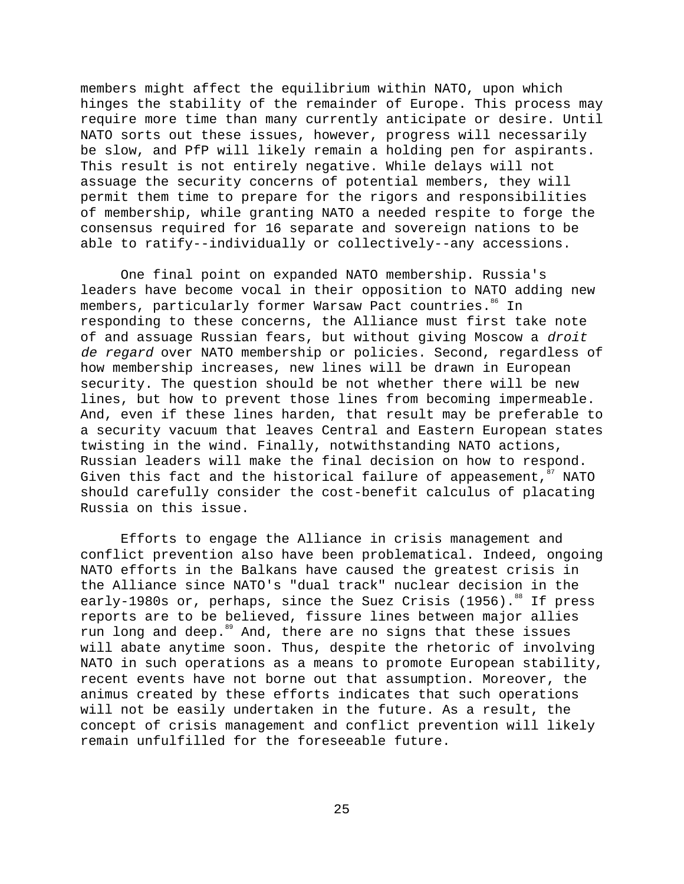members might affect the equilibrium within NATO, upon which hinges the stability of the remainder of Europe. This process may require more time than many currently anticipate or desire. Until NATO sorts out these issues, however, progress will necessarily be slow, and PfP will likely remain a holding pen for aspirants. This result is not entirely negative. While delays will not assuage the security concerns of potential members, they will permit them time to prepare for the rigors and responsibilities of membership, while granting NATO a needed respite to forge the consensus required for 16 separate and sovereign nations to be able to ratify--individually or collectively--any accessions.

One final point on expanded NATO membership. Russia's leaders have become vocal in their opposition to NATO adding new members, particularly former Warsaw Pact countries.<sup>86</sup> In responding to these concerns, the Alliance must first take note of and assuage Russian fears, but without giving Moscow a droit de regard over NATO membership or policies. Second, regardless of how membership increases, new lines will be drawn in European security. The question should be not whether there will be new lines, but how to prevent those lines from becoming impermeable. And, even if these lines harden, that result may be preferable to a security vacuum that leaves Central and Eastern European states twisting in the wind. Finally, notwithstanding NATO actions, Russian leaders will make the final decision on how to respond. Given this fact and the historical failure of appeasement,  $87$  NATO should carefully consider the cost-benefit calculus of placating Russia on this issue.

Efforts to engage the Alliance in crisis management and conflict prevention also have been problematical. Indeed, ongoing NATO efforts in the Balkans have caused the greatest crisis in the Alliance since NATO's "dual track" nuclear decision in the early-1980s or, perhaps, since the Suez Crisis (1956).<sup>88</sup> If press reports are to be believed, fissure lines between major allies run long and deep.<sup>89</sup> And, there are no signs that these issues will abate anytime soon. Thus, despite the rhetoric of involving NATO in such operations as a means to promote European stability, recent events have not borne out that assumption. Moreover, the animus created by these efforts indicates that such operations will not be easily undertaken in the future. As a result, the concept of crisis management and conflict prevention will likely remain unfulfilled for the foreseeable future.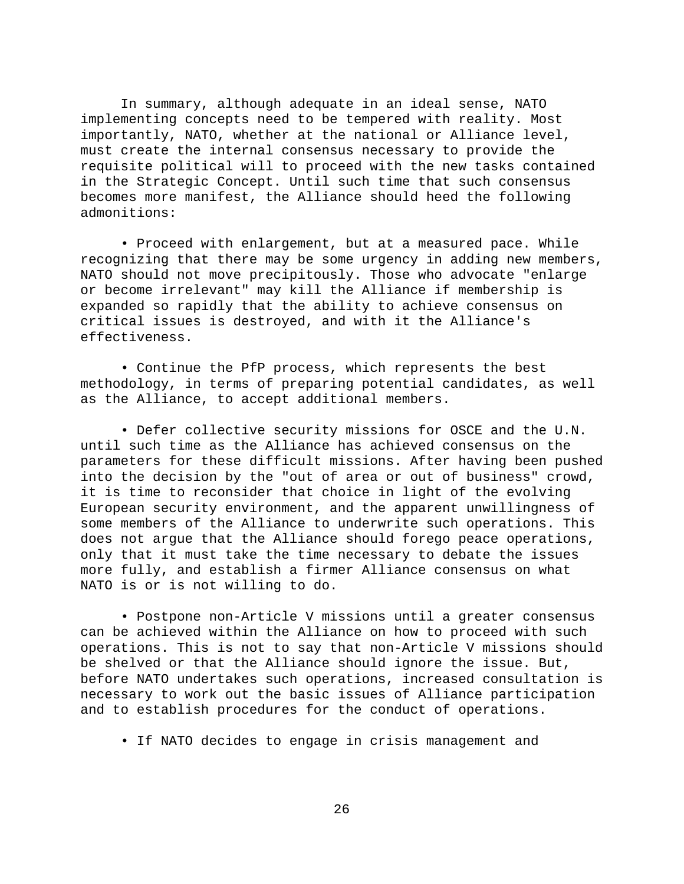In summary, although adequate in an ideal sense, NATO implementing concepts need to be tempered with reality. Most importantly, NATO, whether at the national or Alliance level, must create the internal consensus necessary to provide the requisite political will to proceed with the new tasks contained in the Strategic Concept. Until such time that such consensus becomes more manifest, the Alliance should heed the following admonitions:

• Proceed with enlargement, but at a measured pace. While recognizing that there may be some urgency in adding new members, NATO should not move precipitously. Those who advocate "enlarge or become irrelevant" may kill the Alliance if membership is expanded so rapidly that the ability to achieve consensus on critical issues is destroyed, and with it the Alliance's effectiveness.

• Continue the PfP process, which represents the best methodology, in terms of preparing potential candidates, as well as the Alliance, to accept additional members.

• Defer collective security missions for OSCE and the U.N. until such time as the Alliance has achieved consensus on the parameters for these difficult missions. After having been pushed into the decision by the "out of area or out of business" crowd, it is time to reconsider that choice in light of the evolving European security environment, and the apparent unwillingness of some members of the Alliance to underwrite such operations. This does not argue that the Alliance should forego peace operations, only that it must take the time necessary to debate the issues more fully, and establish a firmer Alliance consensus on what NATO is or is not willing to do.

• Postpone non-Article V missions until a greater consensus can be achieved within the Alliance on how to proceed with such operations. This is not to say that non-Article V missions should be shelved or that the Alliance should ignore the issue. But, before NATO undertakes such operations, increased consultation is necessary to work out the basic issues of Alliance participation and to establish procedures for the conduct of operations.

• If NATO decides to engage in crisis management and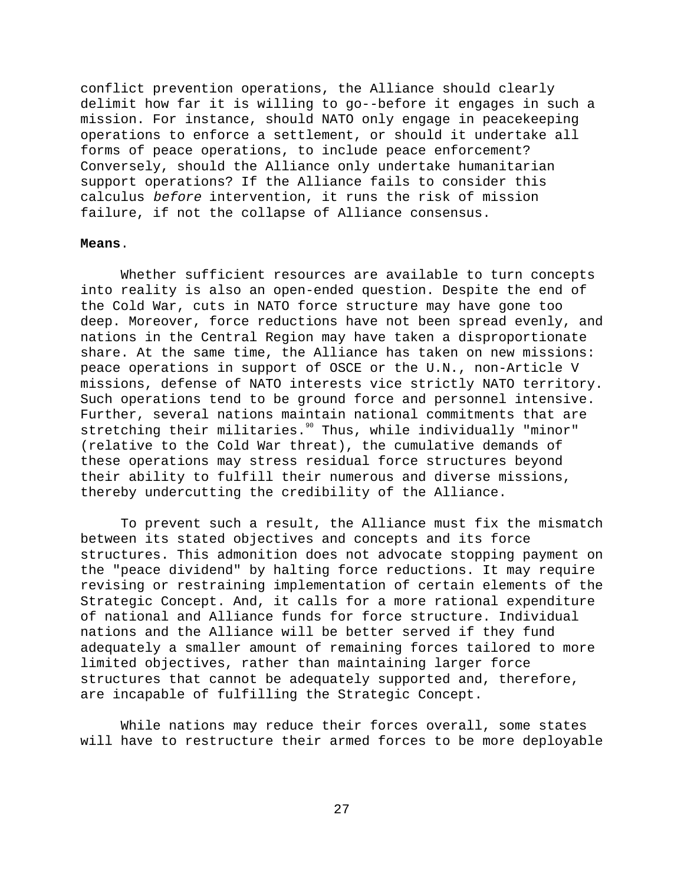conflict prevention operations, the Alliance should clearly delimit how far it is willing to go--before it engages in such a mission. For instance, should NATO only engage in peacekeeping operations to enforce a settlement, or should it undertake all forms of peace operations, to include peace enforcement? Conversely, should the Alliance only undertake humanitarian support operations? If the Alliance fails to consider this calculus before intervention, it runs the risk of mission failure, if not the collapse of Alliance consensus.

### **Means**.

Whether sufficient resources are available to turn concepts into reality is also an open-ended question. Despite the end of the Cold War, cuts in NATO force structure may have gone too deep. Moreover, force reductions have not been spread evenly, and nations in the Central Region may have taken a disproportionate share. At the same time, the Alliance has taken on new missions: peace operations in support of OSCE or the U.N., non-Article V missions, defense of NATO interests vice strictly NATO territory. Such operations tend to be ground force and personnel intensive. Further, several nations maintain national commitments that are stretching their militaries.<sup>90</sup> Thus, while individually "minor" (relative to the Cold War threat), the cumulative demands of these operations may stress residual force structures beyond their ability to fulfill their numerous and diverse missions, thereby undercutting the credibility of the Alliance.

To prevent such a result, the Alliance must fix the mismatch between its stated objectives and concepts and its force structures. This admonition does not advocate stopping payment on the "peace dividend" by halting force reductions. It may require revising or restraining implementation of certain elements of the Strategic Concept. And, it calls for a more rational expenditure of national and Alliance funds for force structure. Individual nations and the Alliance will be better served if they fund adequately a smaller amount of remaining forces tailored to more limited objectives, rather than maintaining larger force structures that cannot be adequately supported and, therefore, are incapable of fulfilling the Strategic Concept.

While nations may reduce their forces overall, some states will have to restructure their armed forces to be more deployable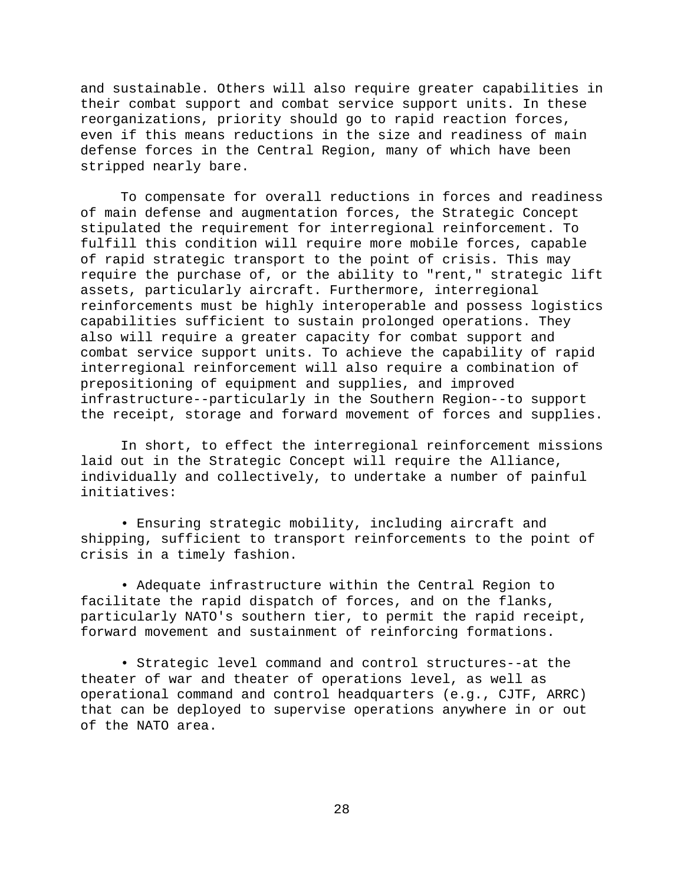and sustainable. Others will also require greater capabilities in their combat support and combat service support units. In these reorganizations, priority should go to rapid reaction forces, even if this means reductions in the size and readiness of main defense forces in the Central Region, many of which have been stripped nearly bare.

To compensate for overall reductions in forces and readiness of main defense and augmentation forces, the Strategic Concept stipulated the requirement for interregional reinforcement. To fulfill this condition will require more mobile forces, capable of rapid strategic transport to the point of crisis. This may require the purchase of, or the ability to "rent," strategic lift assets, particularly aircraft. Furthermore, interregional reinforcements must be highly interoperable and possess logistics capabilities sufficient to sustain prolonged operations. They also will require a greater capacity for combat support and combat service support units. To achieve the capability of rapid interregional reinforcement will also require a combination of prepositioning of equipment and supplies, and improved infrastructure--particularly in the Southern Region--to support the receipt, storage and forward movement of forces and supplies.

In short, to effect the interregional reinforcement missions laid out in the Strategic Concept will require the Alliance, individually and collectively, to undertake a number of painful initiatives:

• Ensuring strategic mobility, including aircraft and shipping, sufficient to transport reinforcements to the point of crisis in a timely fashion.

• Adequate infrastructure within the Central Region to facilitate the rapid dispatch of forces, and on the flanks, particularly NATO's southern tier, to permit the rapid receipt, forward movement and sustainment of reinforcing formations.

• Strategic level command and control structures--at the theater of war and theater of operations level, as well as operational command and control headquarters (e.g., CJTF, ARRC) that can be deployed to supervise operations anywhere in or out of the NATO area.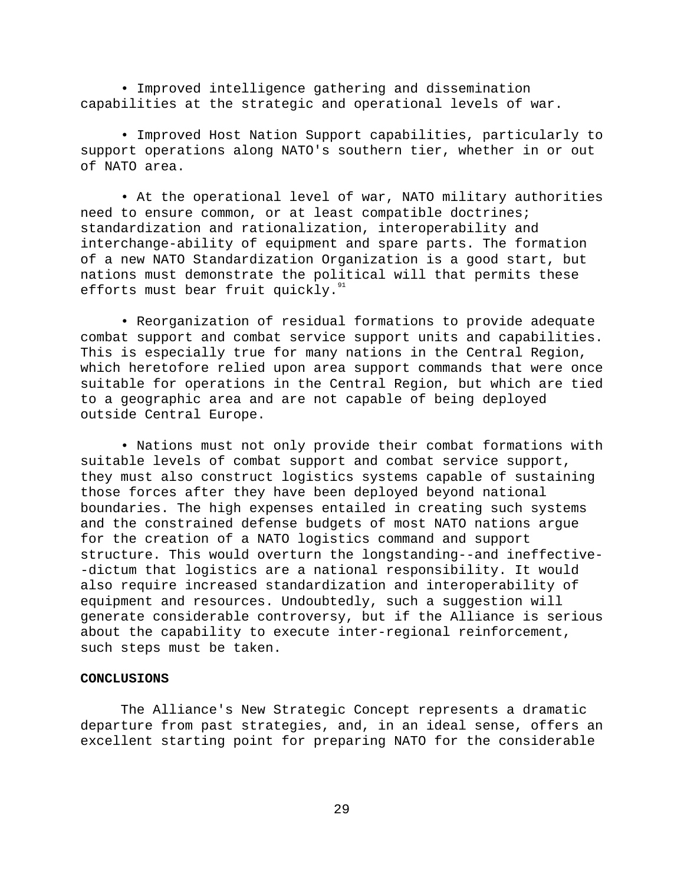• Improved intelligence gathering and dissemination capabilities at the strategic and operational levels of war.

• Improved Host Nation Support capabilities, particularly to support operations along NATO's southern tier, whether in or out of NATO area.

• At the operational level of war, NATO military authorities need to ensure common, or at least compatible doctrines; standardization and rationalization, interoperability and interchange-ability of equipment and spare parts. The formation of a new NATO Standardization Organization is a good start, but nations must demonstrate the political will that permits these efforts must bear fruit quickly. $91$ 

• Reorganization of residual formations to provide adequate combat support and combat service support units and capabilities. This is especially true for many nations in the Central Region, which heretofore relied upon area support commands that were once suitable for operations in the Central Region, but which are tied to a geographic area and are not capable of being deployed outside Central Europe.

• Nations must not only provide their combat formations with suitable levels of combat support and combat service support, they must also construct logistics systems capable of sustaining those forces after they have been deployed beyond national boundaries. The high expenses entailed in creating such systems and the constrained defense budgets of most NATO nations argue for the creation of a NATO logistics command and support structure. This would overturn the longstanding--and ineffective- -dictum that logistics are a national responsibility. It would also require increased standardization and interoperability of equipment and resources. Undoubtedly, such a suggestion will generate considerable controversy, but if the Alliance is serious about the capability to execute inter-regional reinforcement, such steps must be taken.

# **CONCLUSIONS**

The Alliance's New Strategic Concept represents a dramatic departure from past strategies, and, in an ideal sense, offers an excellent starting point for preparing NATO for the considerable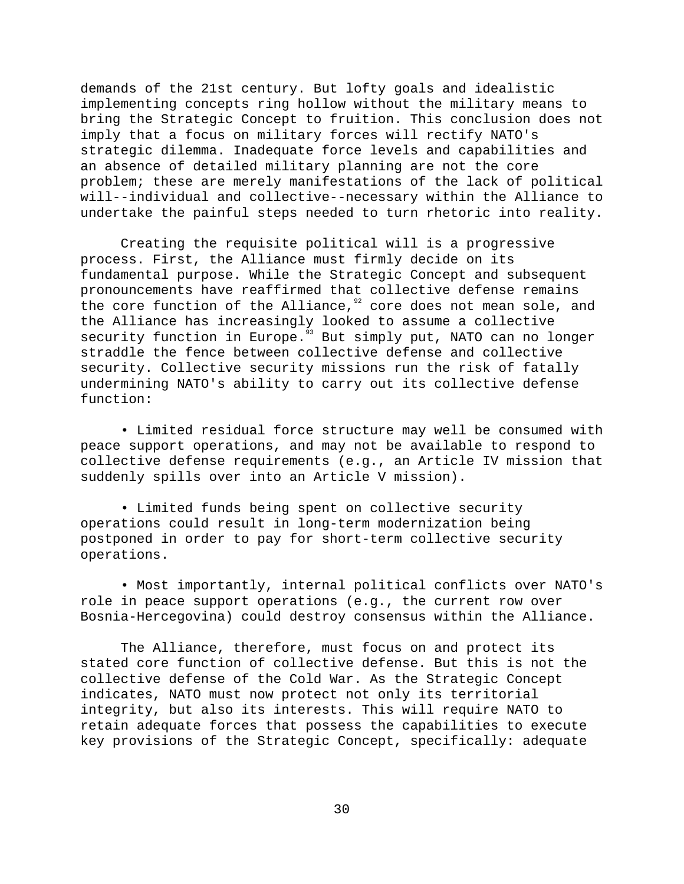demands of the 21st century. But lofty goals and idealistic implementing concepts ring hollow without the military means to bring the Strategic Concept to fruition. This conclusion does not imply that a focus on military forces will rectify NATO's strategic dilemma. Inadequate force levels and capabilities and an absence of detailed military planning are not the core problem; these are merely manifestations of the lack of political will--individual and collective--necessary within the Alliance to undertake the painful steps needed to turn rhetoric into reality.

Creating the requisite political will is a progressive process. First, the Alliance must firmly decide on its fundamental purpose. While the Strategic Concept and subsequent pronouncements have reaffirmed that collective defense remains the core function of the Alliance, $92$  core does not mean sole, and the Alliance has increasingly looked to assume a collective security function in Europe.<sup>93</sup> But simply put, NATO can no longer straddle the fence between collective defense and collective security. Collective security missions run the risk of fatally undermining NATO's ability to carry out its collective defense function:

• Limited residual force structure may well be consumed with peace support operations, and may not be available to respond to collective defense requirements (e.g., an Article IV mission that suddenly spills over into an Article V mission).

• Limited funds being spent on collective security operations could result in long-term modernization being postponed in order to pay for short-term collective security operations.

• Most importantly, internal political conflicts over NATO's role in peace support operations (e.g., the current row over Bosnia-Hercegovina) could destroy consensus within the Alliance.

The Alliance, therefore, must focus on and protect its stated core function of collective defense. But this is not the collective defense of the Cold War. As the Strategic Concept indicates, NATO must now protect not only its territorial integrity, but also its interests. This will require NATO to retain adequate forces that possess the capabilities to execute key provisions of the Strategic Concept, specifically: adequate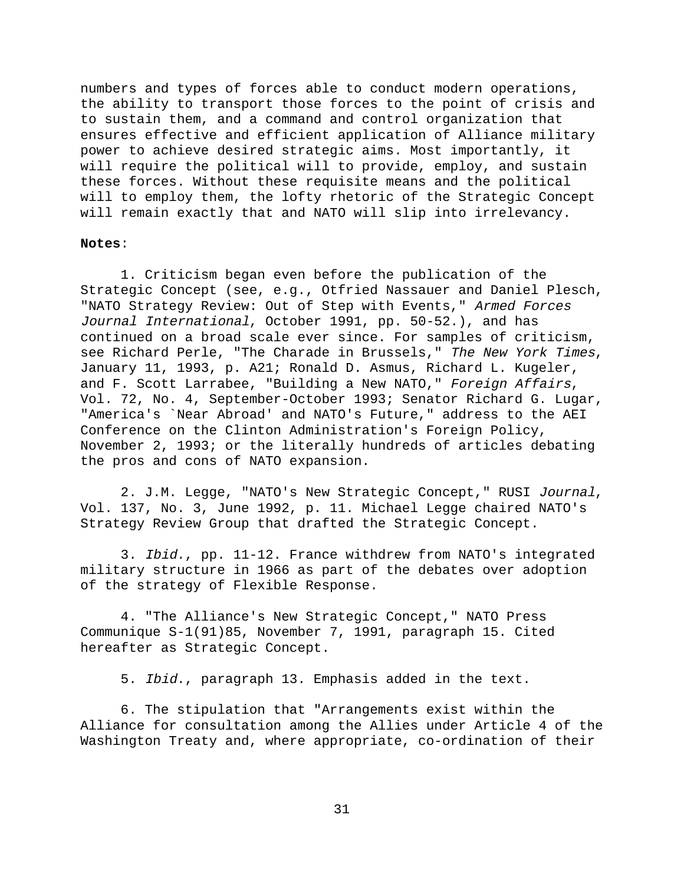numbers and types of forces able to conduct modern operations, the ability to transport those forces to the point of crisis and to sustain them, and a command and control organization that ensures effective and efficient application of Alliance military power to achieve desired strategic aims. Most importantly, it will require the political will to provide, employ, and sustain these forces. Without these requisite means and the political will to employ them, the lofty rhetoric of the Strategic Concept will remain exactly that and NATO will slip into irrelevancy.

### **Notes**:

1. Criticism began even before the publication of the Strategic Concept (see, e.g., Otfried Nassauer and Daniel Plesch, "NATO Strategy Review: Out of Step with Events," Armed Forces Journal International, October 1991, pp. 50-52.), and has continued on a broad scale ever since. For samples of criticism, see Richard Perle, "The Charade in Brussels," The New York Times, January 11, 1993, p. A21; Ronald D. Asmus, Richard L. Kugeler, and F. Scott Larrabee, "Building a New NATO," Foreign Affairs, Vol. 72, No. 4, September-October 1993; Senator Richard G. Lugar, "America's `Near Abroad' and NATO's Future," address to the AEI Conference on the Clinton Administration's Foreign Policy, November 2, 1993; or the literally hundreds of articles debating the pros and cons of NATO expansion.

2. J.M. Legge, "NATO's New Strategic Concept," RUSI Journal, Vol. 137, No. 3, June 1992, p. 11. Michael Legge chaired NATO's Strategy Review Group that drafted the Strategic Concept.

3. Ibid., pp. 11-12. France withdrew from NATO's integrated military structure in 1966 as part of the debates over adoption of the strategy of Flexible Response.

4. "The Alliance's New Strategic Concept," NATO Press Communique S-1(91)85, November 7, 1991, paragraph 15. Cited hereafter as Strategic Concept.

5. Ibid., paragraph 13. Emphasis added in the text.

6. The stipulation that "Arrangements exist within the Alliance for consultation among the Allies under Article 4 of the Washington Treaty and, where appropriate, co-ordination of their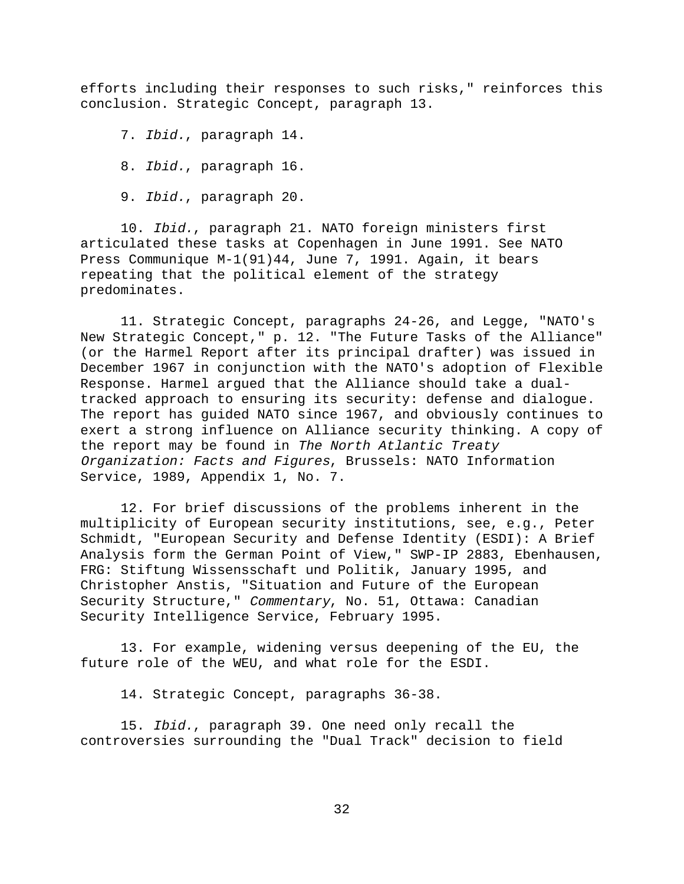efforts including their responses to such risks," reinforces this conclusion. Strategic Concept, paragraph 13.

7. Ibid., paragraph 14.

8. Ibid., paragraph 16.

9. Ibid., paragraph 20.

10. Ibid., paragraph 21. NATO foreign ministers first articulated these tasks at Copenhagen in June 1991. See NATO Press Communique M-1(91)44, June 7, 1991. Again, it bears repeating that the political element of the strategy predominates.

11. Strategic Concept, paragraphs 24-26, and Legge, "NATO's New Strategic Concept," p. 12. "The Future Tasks of the Alliance" (or the Harmel Report after its principal drafter) was issued in December 1967 in conjunction with the NATO's adoption of Flexible Response. Harmel argued that the Alliance should take a dualtracked approach to ensuring its security: defense and dialogue. The report has guided NATO since 1967, and obviously continues to exert a strong influence on Alliance security thinking. A copy of the report may be found in The North Atlantic Treaty Organization: Facts and Figures, Brussels: NATO Information Service, 1989, Appendix 1, No. 7.

12. For brief discussions of the problems inherent in the multiplicity of European security institutions, see, e.g., Peter Schmidt, "European Security and Defense Identity (ESDI): A Brief Analysis form the German Point of View," SWP-IP 2883, Ebenhausen, FRG: Stiftung Wissensschaft und Politik, January 1995, and Christopher Anstis, "Situation and Future of the European Security Structure," Commentary, No. 51, Ottawa: Canadian Security Intelligence Service, February 1995.

13. For example, widening versus deepening of the EU, the future role of the WEU, and what role for the ESDI.

14. Strategic Concept, paragraphs 36-38.

15. Ibid., paragraph 39. One need only recall the controversies surrounding the "Dual Track" decision to field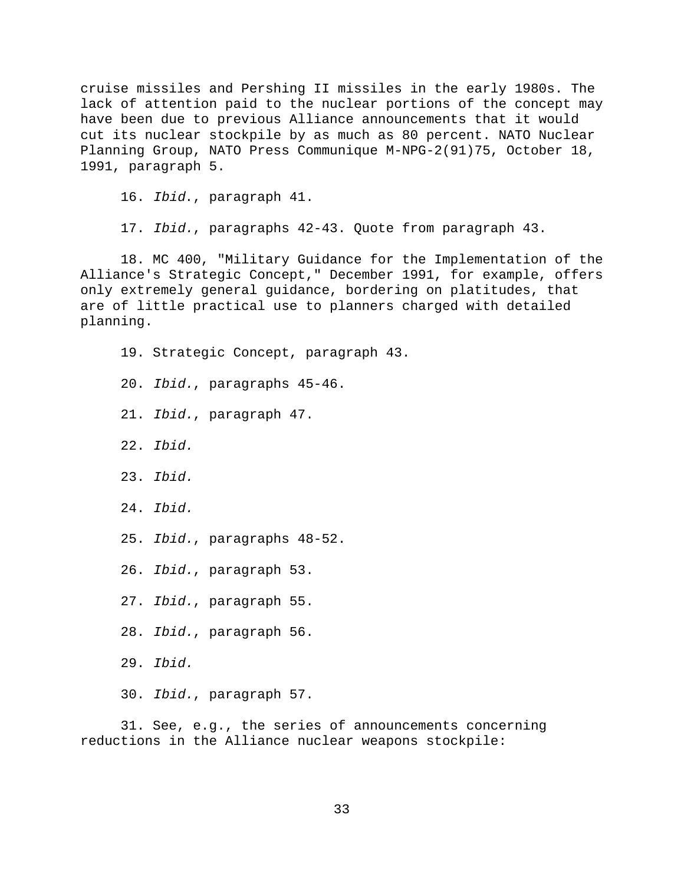cruise missiles and Pershing II missiles in the early 1980s. The lack of attention paid to the nuclear portions of the concept may have been due to previous Alliance announcements that it would cut its nuclear stockpile by as much as 80 percent. NATO Nuclear Planning Group, NATO Press Communique M-NPG-2(91)75, October 18, 1991, paragraph 5.

16. Ibid., paragraph 41.

17. Ibid., paragraphs 42-43. Quote from paragraph 43.

18. MC 400, "Military Guidance for the Implementation of the Alliance's Strategic Concept," December 1991, for example, offers only extremely general guidance, bordering on platitudes, that are of little practical use to planners charged with detailed planning.

19. Strategic Concept, paragraph 43. 20. Ibid., paragraphs 45-46. 21. Ibid., paragraph 47. 22. Ibid. 23. Ibid. 24. Ibid. 25. Ibid., paragraphs 48-52. 26. Ibid., paragraph 53. 27. Ibid., paragraph 55. 28. Ibid., paragraph 56. 29. Ibid. 30. Ibid., paragraph 57.

31. See, e.g., the series of announcements concerning reductions in the Alliance nuclear weapons stockpile: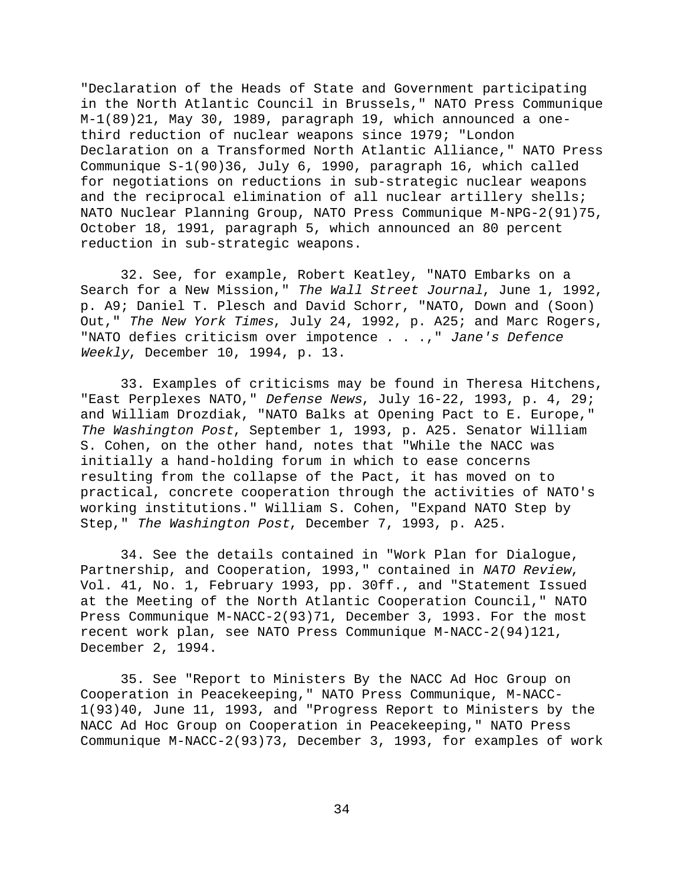"Declaration of the Heads of State and Government participating in the North Atlantic Council in Brussels," NATO Press Communique M-1(89)21, May 30, 1989, paragraph 19, which announced a onethird reduction of nuclear weapons since 1979; "London Declaration on a Transformed North Atlantic Alliance," NATO Press Communique S-1(90)36, July 6, 1990, paragraph 16, which called for negotiations on reductions in sub-strategic nuclear weapons and the reciprocal elimination of all nuclear artillery shells; NATO Nuclear Planning Group, NATO Press Communique M-NPG-2(91)75, October 18, 1991, paragraph 5, which announced an 80 percent reduction in sub-strategic weapons.

32. See, for example, Robert Keatley, "NATO Embarks on a Search for a New Mission," The Wall Street Journal, June 1, 1992, p. A9; Daniel T. Plesch and David Schorr, "NATO, Down and (Soon) Out," The New York Times, July 24, 1992, p. A25; and Marc Rogers, "NATO defies criticism over impotence . . .," Jane's Defence Weekly, December 10, 1994, p. 13.

33. Examples of criticisms may be found in Theresa Hitchens, "East Perplexes NATO," Defense News, July 16-22, 1993, p. 4, 29; and William Drozdiak, "NATO Balks at Opening Pact to E. Europe," The Washington Post, September 1, 1993, p. A25. Senator William S. Cohen, on the other hand, notes that "While the NACC was initially a hand-holding forum in which to ease concerns resulting from the collapse of the Pact, it has moved on to practical, concrete cooperation through the activities of NATO's working institutions." William S. Cohen, "Expand NATO Step by Step," The Washington Post, December 7, 1993, p. A25.

34. See the details contained in "Work Plan for Dialogue, Partnership, and Cooperation, 1993," contained in NATO Review, Vol. 41, No. 1, February 1993, pp. 30ff., and "Statement Issued at the Meeting of the North Atlantic Cooperation Council," NATO Press Communique M-NACC-2(93)71, December 3, 1993. For the most recent work plan, see NATO Press Communique M-NACC-2(94)121, December 2, 1994.

35. See "Report to Ministers By the NACC Ad Hoc Group on Cooperation in Peacekeeping," NATO Press Communique, M-NACC-1(93)40, June 11, 1993, and "Progress Report to Ministers by the NACC Ad Hoc Group on Cooperation in Peacekeeping," NATO Press Communique M-NACC-2(93)73, December 3, 1993, for examples of work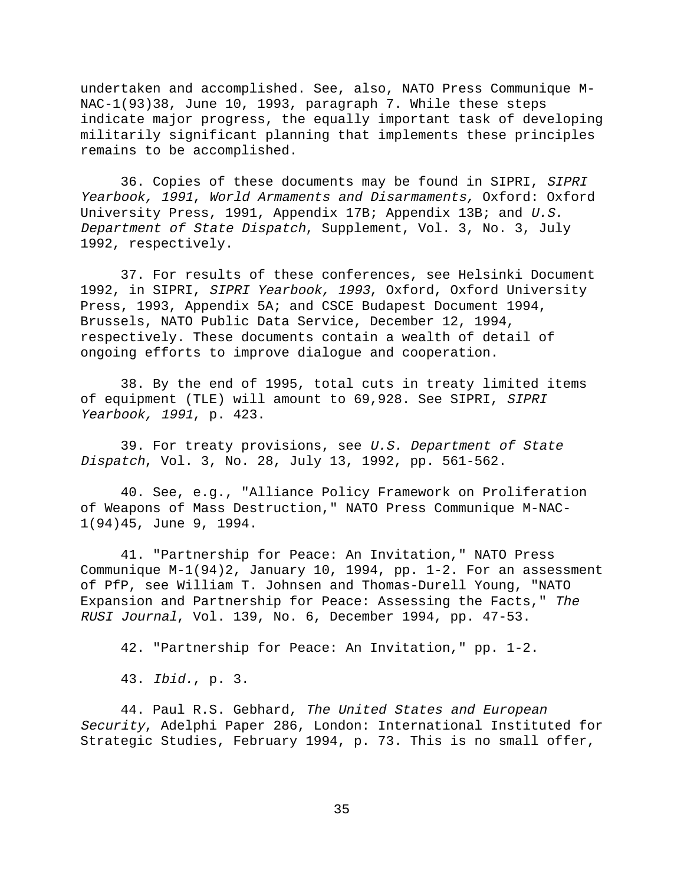undertaken and accomplished. See, also, NATO Press Communique M-NAC-1(93)38, June 10, 1993, paragraph 7. While these steps indicate major progress, the equally important task of developing militarily significant planning that implements these principles remains to be accomplished.

36. Copies of these documents may be found in SIPRI, SIPRI Yearbook, 1991, World Armaments and Disarmaments, Oxford: Oxford University Press, 1991, Appendix 17B; Appendix 13B; and U.S. Department of State Dispatch, Supplement, Vol. 3, No. 3, July 1992, respectively.

37. For results of these conferences, see Helsinki Document 1992, in SIPRI, SIPRI Yearbook, 1993, Oxford, Oxford University Press, 1993, Appendix 5A; and CSCE Budapest Document 1994, Brussels, NATO Public Data Service, December 12, 1994, respectively. These documents contain a wealth of detail of ongoing efforts to improve dialogue and cooperation.

38. By the end of 1995, total cuts in treaty limited items of equipment (TLE) will amount to 69,928. See SIPRI, SIPRI Yearbook, 1991, p. 423.

39. For treaty provisions, see U.S. Department of State Dispatch, Vol. 3, No. 28, July 13, 1992, pp. 561-562.

40. See, e.g., "Alliance Policy Framework on Proliferation of Weapons of Mass Destruction," NATO Press Communique M-NAC-1(94)45, June 9, 1994.

41. "Partnership for Peace: An Invitation," NATO Press Communique M-1(94)2, January 10, 1994, pp. 1-2. For an assessment of PfP, see William T. Johnsen and Thomas-Durell Young, "NATO Expansion and Partnership for Peace: Assessing the Facts," The RUSI Journal, Vol. 139, No. 6, December 1994, pp. 47-53.

42. "Partnership for Peace: An Invitation," pp. 1-2.

43. Ibid., p. 3.

44. Paul R.S. Gebhard, The United States and European Security, Adelphi Paper 286, London: International Instituted for Strategic Studies, February 1994, p. 73. This is no small offer,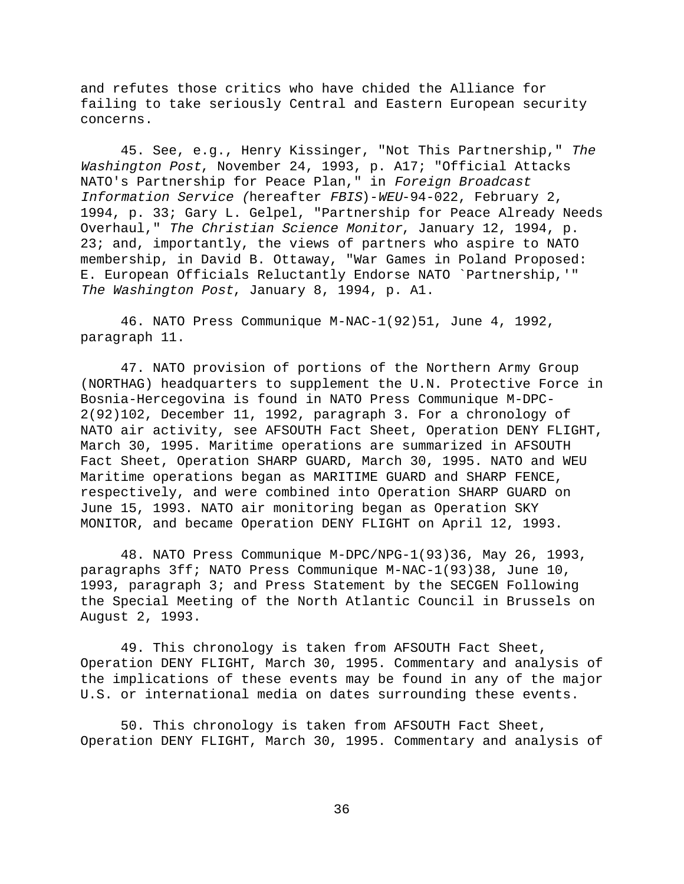and refutes those critics who have chided the Alliance for failing to take seriously Central and Eastern European security concerns.

45. See, e.g., Henry Kissinger, "Not This Partnership," The Washington Post, November 24, 1993, p. A17; "Official Attacks NATO's Partnership for Peace Plan," in Foreign Broadcast Information Service (hereafter FBIS)-WEU-94-022, February 2, 1994, p. 33; Gary L. Gelpel, "Partnership for Peace Already Needs Overhaul," The Christian Science Monitor, January 12, 1994, p. 23; and, importantly, the views of partners who aspire to NATO membership, in David B. Ottaway, "War Games in Poland Proposed: E. European Officials Reluctantly Endorse NATO `Partnership,'" The Washington Post, January 8, 1994, p. A1.

46. NATO Press Communique M-NAC-1(92)51, June 4, 1992, paragraph 11.

47. NATO provision of portions of the Northern Army Group (NORTHAG) headquarters to supplement the U.N. Protective Force in Bosnia-Hercegovina is found in NATO Press Communique M-DPC-2(92)102, December 11, 1992, paragraph 3. For a chronology of NATO air activity, see AFSOUTH Fact Sheet, Operation DENY FLIGHT, March 30, 1995. Maritime operations are summarized in AFSOUTH Fact Sheet, Operation SHARP GUARD, March 30, 1995. NATO and WEU Maritime operations began as MARITIME GUARD and SHARP FENCE, respectively, and were combined into Operation SHARP GUARD on June 15, 1993. NATO air monitoring began as Operation SKY MONITOR, and became Operation DENY FLIGHT on April 12, 1993.

48. NATO Press Communique M-DPC/NPG-1(93)36, May 26, 1993, paragraphs 3ff; NATO Press Communique M-NAC-1(93)38, June 10, 1993, paragraph 3; and Press Statement by the SECGEN Following the Special Meeting of the North Atlantic Council in Brussels on August 2, 1993.

49. This chronology is taken from AFSOUTH Fact Sheet, Operation DENY FLIGHT, March 30, 1995. Commentary and analysis of the implications of these events may be found in any of the major U.S. or international media on dates surrounding these events.

50. This chronology is taken from AFSOUTH Fact Sheet, Operation DENY FLIGHT, March 30, 1995. Commentary and analysis of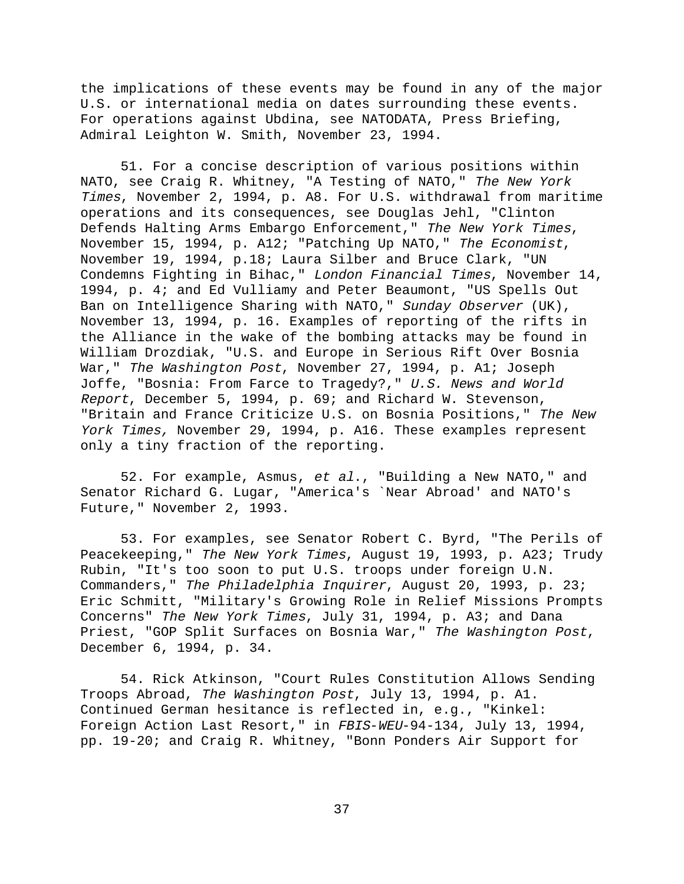the implications of these events may be found in any of the major U.S. or international media on dates surrounding these events. For operations against Ubdina, see NATODATA, Press Briefing, Admiral Leighton W. Smith, November 23, 1994.

51. For a concise description of various positions within NATO, see Craig R. Whitney, "A Testing of NATO," The New York Times, November 2, 1994, p. A8. For U.S. withdrawal from maritime operations and its consequences, see Douglas Jehl, "Clinton Defends Halting Arms Embargo Enforcement," The New York Times, November 15, 1994, p. A12; "Patching Up NATO," The Economist, November 19, 1994, p.18; Laura Silber and Bruce Clark, "UN Condemns Fighting in Bihac," London Financial Times, November 14, 1994, p. 4; and Ed Vulliamy and Peter Beaumont, "US Spells Out Ban on Intelligence Sharing with NATO," Sunday Observer (UK), November 13, 1994, p. 16. Examples of reporting of the rifts in the Alliance in the wake of the bombing attacks may be found in William Drozdiak, "U.S. and Europe in Serious Rift Over Bosnia War," The Washington Post, November 27, 1994, p. Al; Joseph Joffe, "Bosnia: From Farce to Tragedy?," U.S. News and World Report, December 5, 1994, p. 69; and Richard W. Stevenson, "Britain and France Criticize U.S. on Bosnia Positions," The New York Times, November 29, 1994, p. A16. These examples represent only a tiny fraction of the reporting.

52. For example, Asmus, et al., "Building a New NATO," and Senator Richard G. Lugar, "America's `Near Abroad' and NATO's Future," November 2, 1993.

53. For examples, see Senator Robert C. Byrd, "The Perils of Peacekeeping," The New York Times, August 19, 1993, p. A23; Trudy Rubin, "It's too soon to put U.S. troops under foreign U.N. Commanders," The Philadelphia Inquirer, August 20, 1993, p. 23; Eric Schmitt, "Military's Growing Role in Relief Missions Prompts Concerns" The New York Times, July 31, 1994, p. A3; and Dana Priest, "GOP Split Surfaces on Bosnia War," The Washington Post, December 6, 1994, p. 34.

54. Rick Atkinson, "Court Rules Constitution Allows Sending Troops Abroad, The Washington Post, July 13, 1994, p. A1. Continued German hesitance is reflected in, e.g., "Kinkel: Foreign Action Last Resort," in FBIS-WEU-94-134, July 13, 1994, pp. 19-20; and Craig R. Whitney, "Bonn Ponders Air Support for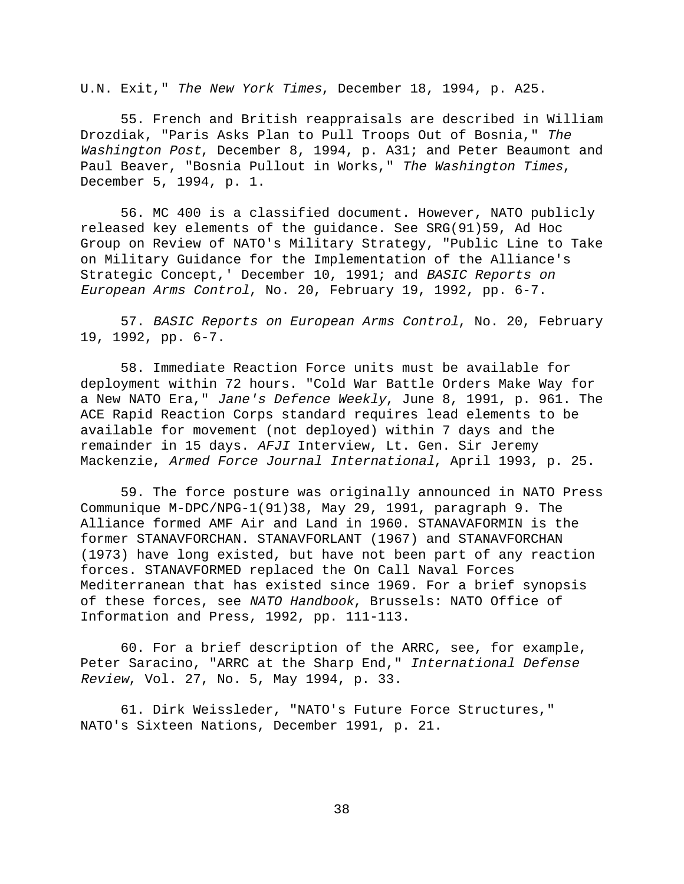U.N. Exit," The New York Times, December 18, 1994, p. A25.

55. French and British reappraisals are described in William Drozdiak, "Paris Asks Plan to Pull Troops Out of Bosnia," The Washington Post, December 8, 1994, p. A31; and Peter Beaumont and Paul Beaver, "Bosnia Pullout in Works," The Washington Times, December 5, 1994, p. 1.

56. MC 400 is a classified document. However, NATO publicly released key elements of the guidance. See SRG(91)59, Ad Hoc Group on Review of NATO's Military Strategy, "Public Line to Take on Military Guidance for the Implementation of the Alliance's Strategic Concept,' December 10, 1991; and BASIC Reports on European Arms Control, No. 20, February 19, 1992, pp. 6-7.

57. BASIC Reports on European Arms Control, No. 20, February 19, 1992, pp. 6-7.

58. Immediate Reaction Force units must be available for deployment within 72 hours. "Cold War Battle Orders Make Way for a New NATO Era," Jane's Defence Weekly, June 8, 1991, p. 961. The ACE Rapid Reaction Corps standard requires lead elements to be available for movement (not deployed) within 7 days and the remainder in 15 days. AFJI Interview, Lt. Gen. Sir Jeremy Mackenzie, Armed Force Journal International, April 1993, p. 25.

59. The force posture was originally announced in NATO Press Communique M-DPC/NPG-1(91)38, May 29, 1991, paragraph 9. The Alliance formed AMF Air and Land in 1960. STANAVAFORMIN is the former STANAVFORCHAN. STANAVFORLANT (1967) and STANAVFORCHAN (1973) have long existed, but have not been part of any reaction forces. STANAVFORMED replaced the On Call Naval Forces Mediterranean that has existed since 1969. For a brief synopsis of these forces, see NATO Handbook, Brussels: NATO Office of Information and Press, 1992, pp. 111-113.

60. For a brief description of the ARRC, see, for example, Peter Saracino, "ARRC at the Sharp End," International Defense Review, Vol. 27, No. 5, May 1994, p. 33.

61. Dirk Weissleder, "NATO's Future Force Structures," NATO's Sixteen Nations, December 1991, p. 21.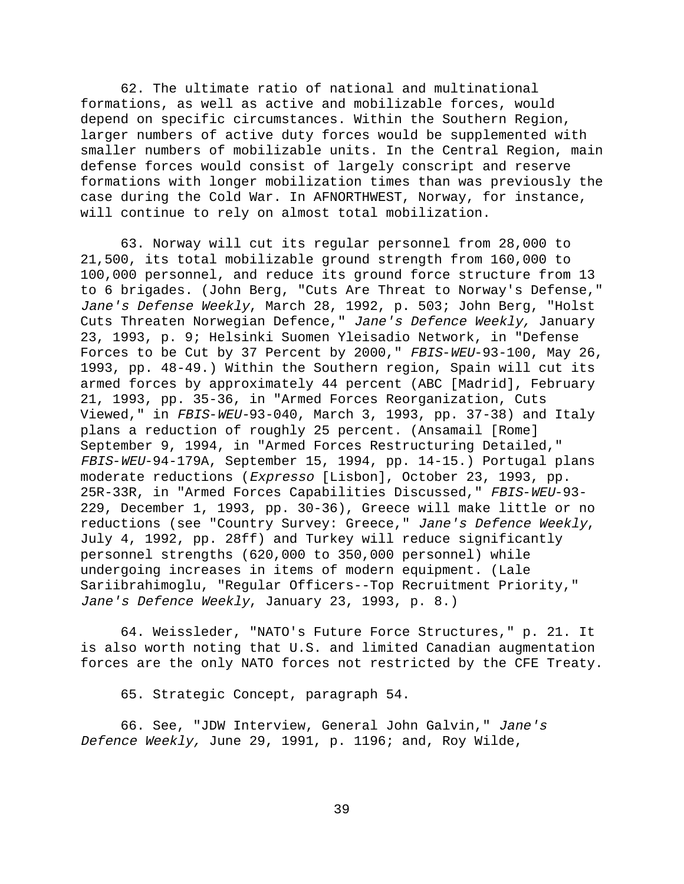62. The ultimate ratio of national and multinational formations, as well as active and mobilizable forces, would depend on specific circumstances. Within the Southern Region, larger numbers of active duty forces would be supplemented with smaller numbers of mobilizable units. In the Central Region, main defense forces would consist of largely conscript and reserve formations with longer mobilization times than was previously the case during the Cold War. In AFNORTHWEST, Norway, for instance, will continue to rely on almost total mobilization.

63. Norway will cut its regular personnel from 28,000 to 21,500, its total mobilizable ground strength from 160,000 to 100,000 personnel, and reduce its ground force structure from 13 to 6 brigades. (John Berg, "Cuts Are Threat to Norway's Defense," Jane's Defense Weekly, March 28, 1992, p. 503; John Berg, "Holst Cuts Threaten Norwegian Defence," Jane's Defence Weekly, January 23, 1993, p. 9; Helsinki Suomen Yleisadio Network, in "Defense Forces to be Cut by 37 Percent by 2000," FBIS-WEU-93-100, May 26, 1993, pp. 48-49.) Within the Southern region, Spain will cut its armed forces by approximately 44 percent (ABC [Madrid], February 21, 1993, pp. 35-36, in "Armed Forces Reorganization, Cuts Viewed," in FBIS-WEU-93-040, March 3, 1993, pp. 37-38) and Italy plans a reduction of roughly 25 percent. (Ansamail [Rome] September 9, 1994, in "Armed Forces Restructuring Detailed," FBIS-WEU-94-179A, September 15, 1994, pp. 14-15.) Portugal plans moderate reductions (Expresso [Lisbon], October 23, 1993, pp. 25R-33R, in "Armed Forces Capabilities Discussed," FBIS-WEU-93- 229, December 1, 1993, pp. 30-36), Greece will make little or no reductions (see "Country Survey: Greece," Jane's Defence Weekly, July 4, 1992, pp. 28ff) and Turkey will reduce significantly personnel strengths (620,000 to 350,000 personnel) while undergoing increases in items of modern equipment. (Lale Sariibrahimoglu, "Regular Officers--Top Recruitment Priority," Jane's Defence Weekly, January 23, 1993, p. 8.)

64. Weissleder, "NATO's Future Force Structures," p. 21. It is also worth noting that U.S. and limited Canadian augmentation forces are the only NATO forces not restricted by the CFE Treaty.

65. Strategic Concept, paragraph 54.

66. See, "JDW Interview, General John Galvin," Jane's Defence Weekly, June 29, 1991, p. 1196; and, Roy Wilde,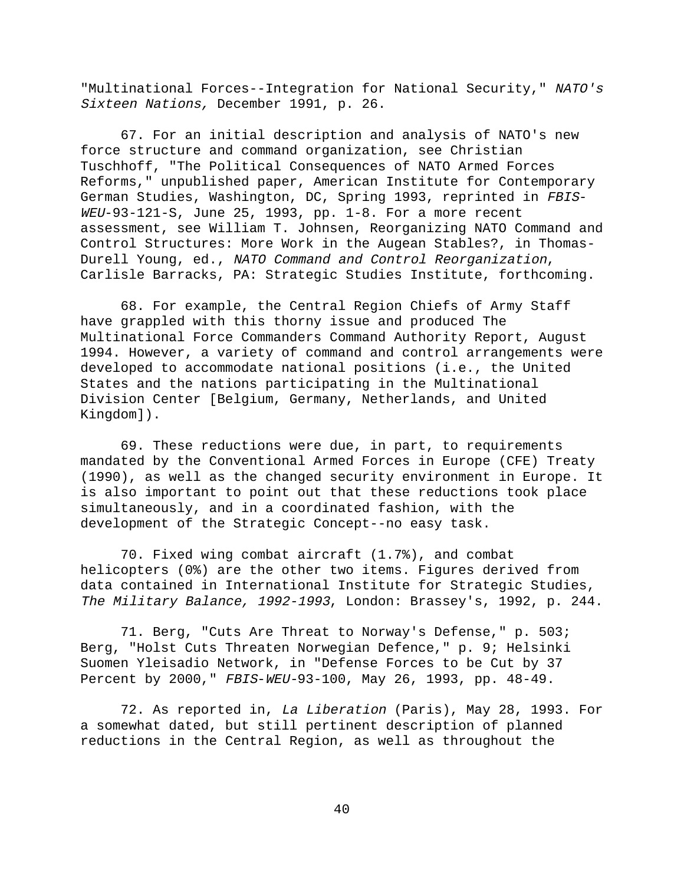"Multinational Forces--Integration for National Security," NATO's Sixteen Nations, December 1991, p. 26.

67. For an initial description and analysis of NATO's new force structure and command organization, see Christian Tuschhoff, "The Political Consequences of NATO Armed Forces Reforms," unpublished paper, American Institute for Contemporary German Studies, Washington, DC, Spring 1993, reprinted in FBIS-WEU-93-121-S, June 25, 1993, pp. 1-8. For a more recent assessment, see William T. Johnsen, Reorganizing NATO Command and Control Structures: More Work in the Augean Stables?, in Thomas-Durell Young, ed., NATO Command and Control Reorganization, Carlisle Barracks, PA: Strategic Studies Institute, forthcoming.

68. For example, the Central Region Chiefs of Army Staff have grappled with this thorny issue and produced The Multinational Force Commanders Command Authority Report, August 1994. However, a variety of command and control arrangements were developed to accommodate national positions (i.e., the United States and the nations participating in the Multinational Division Center [Belgium, Germany, Netherlands, and United Kingdom]).

69. These reductions were due, in part, to requirements mandated by the Conventional Armed Forces in Europe (CFE) Treaty (1990), as well as the changed security environment in Europe. It is also important to point out that these reductions took place simultaneously, and in a coordinated fashion, with the development of the Strategic Concept--no easy task.

70. Fixed wing combat aircraft (1.7%), and combat helicopters (0%) are the other two items. Figures derived from data contained in International Institute for Strategic Studies, The Military Balance, 1992-1993, London: Brassey's, 1992, p. 244.

71. Berg, "Cuts Are Threat to Norway's Defense," p. 503; Berg, "Holst Cuts Threaten Norwegian Defence," p. 9; Helsinki Suomen Yleisadio Network, in "Defense Forces to be Cut by 37 Percent by 2000," FBIS-WEU-93-100, May 26, 1993, pp. 48-49.

72. As reported in, La Liberation (Paris), May 28, 1993. For a somewhat dated, but still pertinent description of planned reductions in the Central Region, as well as throughout the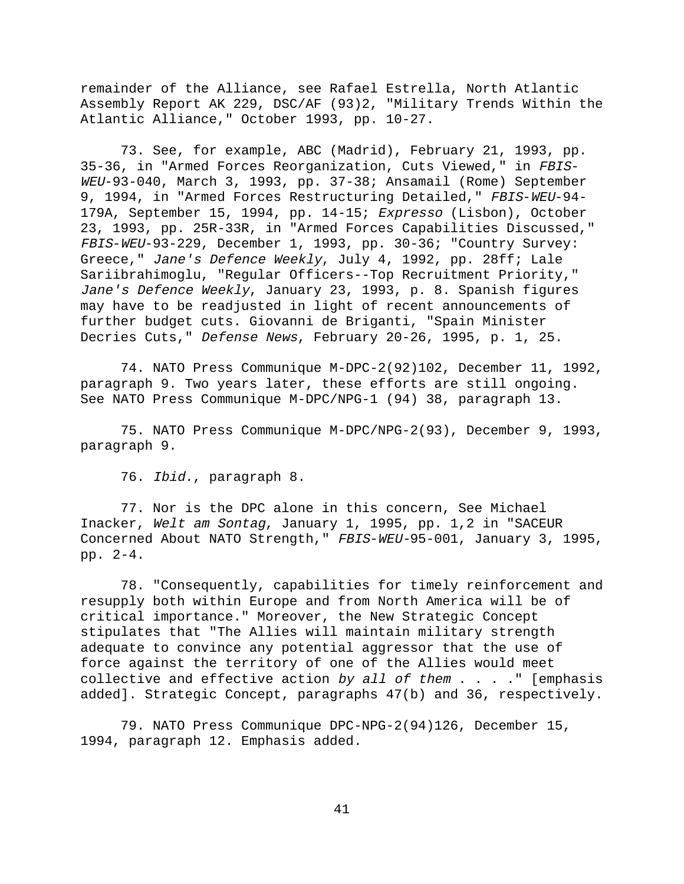remainder of the Alliance, see Rafael Estrella, North Atlantic Assembly Report AK 229, DSC/AF (93)2, "Military Trends Within the Atlantic Alliance," October 1993, pp. 10-27.

73. See, for example, ABC (Madrid), February 21, 1993, pp. 35-36, in "Armed Forces Reorganization, Cuts Viewed," in FBIS-WEU-93-040, March 3, 1993, pp. 37-38; Ansamail (Rome) September 9, 1994, in "Armed Forces Restructuring Detailed," FBIS-WEU-94-179A, September 15, 1994, pp. 14-15; Expresso (Lisbon), October 23, 1993, pp. 25R-33R, in "Armed Forces Capabilities Discussed," FBIS-WEU-93-229, December 1, 1993, pp. 30-36; "Country Survey: Greece," Jane's Defence Weekly, July 4, 1992, pp. 28ff; Lale Sariibrahimoglu, "Regular Officers--Top Recruitment Priority," Jane's Defence Weekly, January 23, 1993, p. 8. Spanish figures may have to be readjusted in light of recent announcements of further budget cuts. Giovanni de Briganti, "Spain Minister Decries Cuts," Defense News, February 20-26, 1995, p. 1, 25.

74. NATO Press Communique M-DPC-2(92)102, December 11, 1992, paragraph 9. Two years later, these efforts are still ongoing. See NATO Press Communique M-DPC/NPG-1 (94) 38, paragraph 13.

75. NATO Press Communique M-DPC/NPG-2(93), December 9, 1993, paragraph 9.

76. Ibid., paragraph 8.

77. Nor is the DPC alone in this concern, See Michael Inacker, Welt am Sontag, January 1, 1995, pp. 1,2 in "SACEUR Concerned About NATO Strength," FBIS-WEU-95-001, January 3, 1995, pp. 2-4.

78. "Consequently, capabilities for timely reinforcement and resupply both within Europe and from North America will be of critical importance." Moreover, the New Strategic Concept stipulates that "The Allies will maintain military strength adequate to convince any potential aggressor that the use of force against the territory of one of the Allies would meet collective and effective action by all of them  $\ldots$  . . . [emphasis added]. Strategic Concept, paragraphs 47(b) and 36, respectively.

79. NATO Press Communique DPC-NPG-2(94)126, December 15, 1994, paragraph 12. Emphasis added.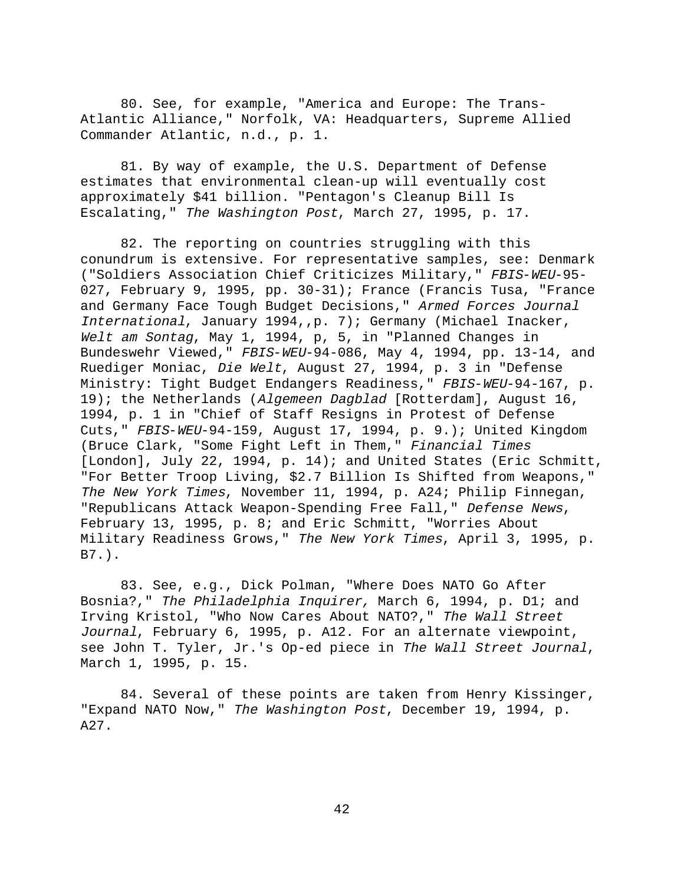80. See, for example, "America and Europe: The Trans-Atlantic Alliance," Norfolk, VA: Headquarters, Supreme Allied Commander Atlantic, n.d., p. 1.

81. By way of example, the U.S. Department of Defense estimates that environmental clean-up will eventually cost approximately \$41 billion. "Pentagon's Cleanup Bill Is Escalating," The Washington Post, March 27, 1995, p. 17.

82. The reporting on countries struggling with this conundrum is extensive. For representative samples, see: Denmark ("Soldiers Association Chief Criticizes Military," FBIS-WEU-95- 027, February 9, 1995, pp. 30-31); France (Francis Tusa, "France and Germany Face Tough Budget Decisions," Armed Forces Journal International, January 1994,,p. 7); Germany (Michael Inacker, Welt am Sontag, May 1, 1994, p, 5, in "Planned Changes in Bundeswehr Viewed," FBIS-WEU-94-086, May 4, 1994, pp. 13-14, and Ruediger Moniac, Die Welt, August 27, 1994, p. 3 in "Defense Ministry: Tight Budget Endangers Readiness, " FBIS-WEU-94-167, p. 19); the Netherlands (Algemeen Dagblad [Rotterdam], August 16, 1994, p. 1 in "Chief of Staff Resigns in Protest of Defense Cuts," FBIS-WEU-94-159, August 17, 1994, p. 9.); United Kingdom (Bruce Clark, "Some Fight Left in Them," Financial Times [London], July 22, 1994, p. 14); and United States (Eric Schmitt, "For Better Troop Living, \$2.7 Billion Is Shifted from Weapons," The New York Times, November 11, 1994, p. A24; Philip Finnegan, "Republicans Attack Weapon-Spending Free Fall," Defense News, February 13, 1995, p. 8; and Eric Schmitt, "Worries About Military Readiness Grows," The New York Times, April 3, 1995, p. B7.).

83. See, e.g., Dick Polman, "Where Does NATO Go After Bosnia?," The Philadelphia Inquirer, March 6, 1994, p. D1; and Irving Kristol, "Who Now Cares About NATO?," The Wall Street Journal, February 6, 1995, p. A12. For an alternate viewpoint, see John T. Tyler, Jr.'s Op-ed piece in The Wall Street Journal, March 1, 1995, p. 15.

84. Several of these points are taken from Henry Kissinger, "Expand NATO Now," The Washington Post, December 19, 1994, p. A27.

42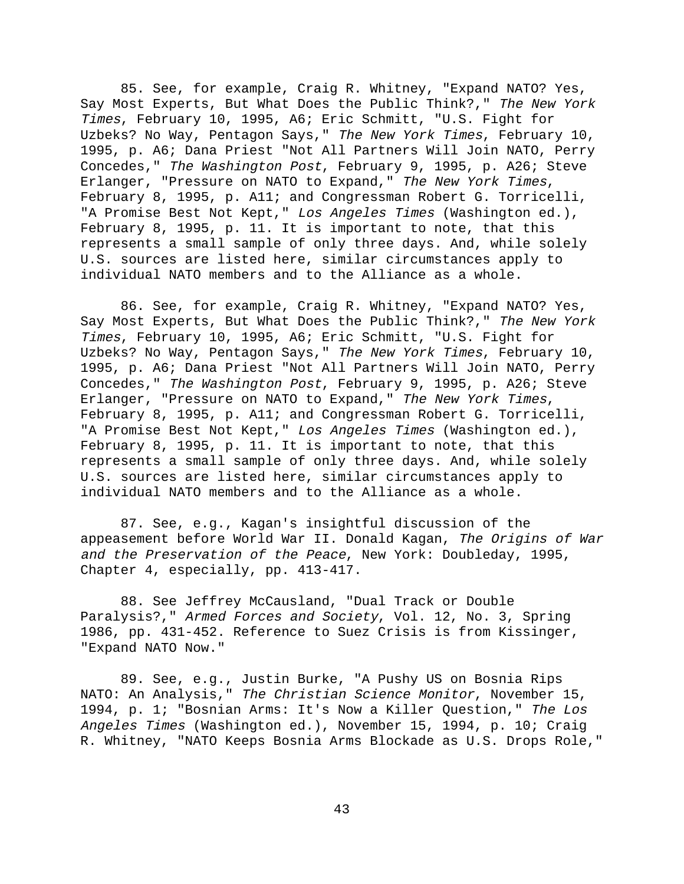85. See, for example, Craig R. Whitney, "Expand NATO? Yes, Say Most Experts, But What Does the Public Think?," The New York Times, February 10, 1995, A6; Eric Schmitt, "U.S. Fight for Uzbeks? No Way, Pentagon Says," The New York Times, February 10, 1995, p. A6; Dana Priest "Not All Partners Will Join NATO, Perry Concedes," The Washington Post, February 9, 1995, p. A26; Steve Erlanger, "Pressure on NATO to Expand," The New York Times, February 8, 1995, p. A11; and Congressman Robert G. Torricelli, "A Promise Best Not Kept," Los Angeles Times (Washington ed.), February 8, 1995, p. 11. It is important to note, that this represents a small sample of only three days. And, while solely U.S. sources are listed here, similar circumstances apply to individual NATO members and to the Alliance as a whole.

86. See, for example, Craig R. Whitney, "Expand NATO? Yes, Say Most Experts, But What Does the Public Think?," The New York Times, February 10, 1995, A6; Eric Schmitt, "U.S. Fight for Uzbeks? No Way, Pentagon Says," The New York Times, February 10, 1995, p. A6; Dana Priest "Not All Partners Will Join NATO, Perry Concedes," The Washington Post, February 9, 1995, p. A26; Steve Erlanger, "Pressure on NATO to Expand," The New York Times, February 8, 1995, p. A11; and Congressman Robert G. Torricelli, "A Promise Best Not Kept," Los Angeles Times (Washington ed.), February 8, 1995, p. 11. It is important to note, that this represents a small sample of only three days. And, while solely U.S. sources are listed here, similar circumstances apply to individual NATO members and to the Alliance as a whole.

87. See, e.g., Kagan's insightful discussion of the appeasement before World War II. Donald Kagan, The Origins of War and the Preservation of the Peace, New York: Doubleday, 1995, Chapter 4, especially, pp. 413-417.

88. See Jeffrey McCausland, "Dual Track or Double Paralysis?," Armed Forces and Society, Vol. 12, No. 3, Spring 1986, pp. 431-452. Reference to Suez Crisis is from Kissinger, "Expand NATO Now."

89. See, e.g., Justin Burke, "A Pushy US on Bosnia Rips NATO: An Analysis," The Christian Science Monitor, November 15, 1994, p. 1; "Bosnian Arms: It's Now a Killer Question," The Los Angeles Times (Washington ed.), November 15, 1994, p. 10; Craig R. Whitney, "NATO Keeps Bosnia Arms Blockade as U.S. Drops Role,"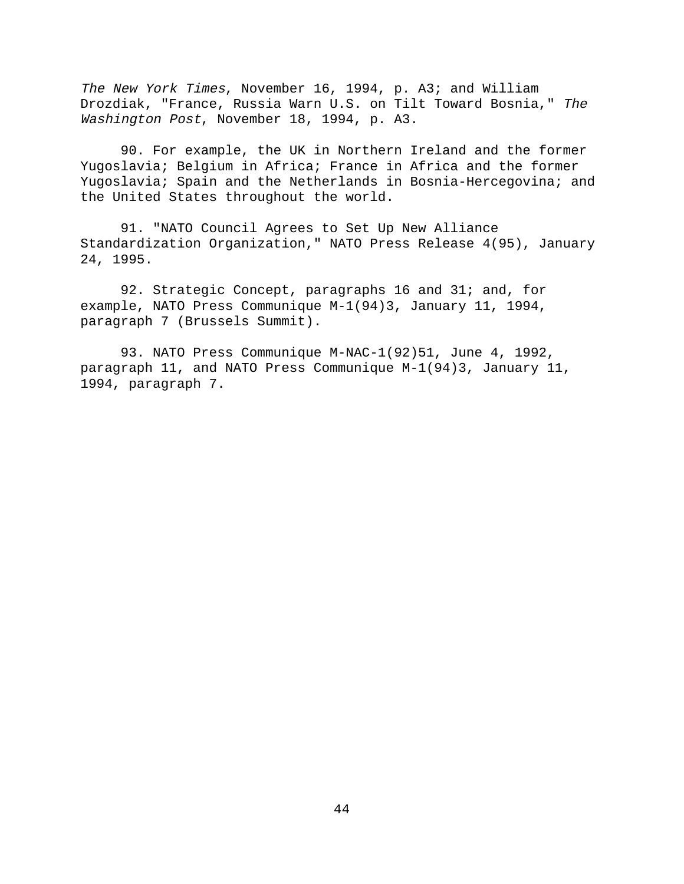The New York Times, November 16, 1994, p. A3; and William Drozdiak, "France, Russia Warn U.S. on Tilt Toward Bosnia," The Washington Post, November 18, 1994, p. A3.

90. For example, the UK in Northern Ireland and the former Yugoslavia; Belgium in Africa; France in Africa and the former Yugoslavia; Spain and the Netherlands in Bosnia-Hercegovina; and the United States throughout the world.

91. "NATO Council Agrees to Set Up New Alliance Standardization Organization," NATO Press Release 4(95), January 24, 1995.

92. Strategic Concept, paragraphs 16 and 31; and, for example, NATO Press Communique M-1(94)3, January 11, 1994, paragraph 7 (Brussels Summit).

93. NATO Press Communique M-NAC-1(92)51, June 4, 1992, paragraph 11, and NATO Press Communique M-1(94)3, January 11, 1994, paragraph 7.